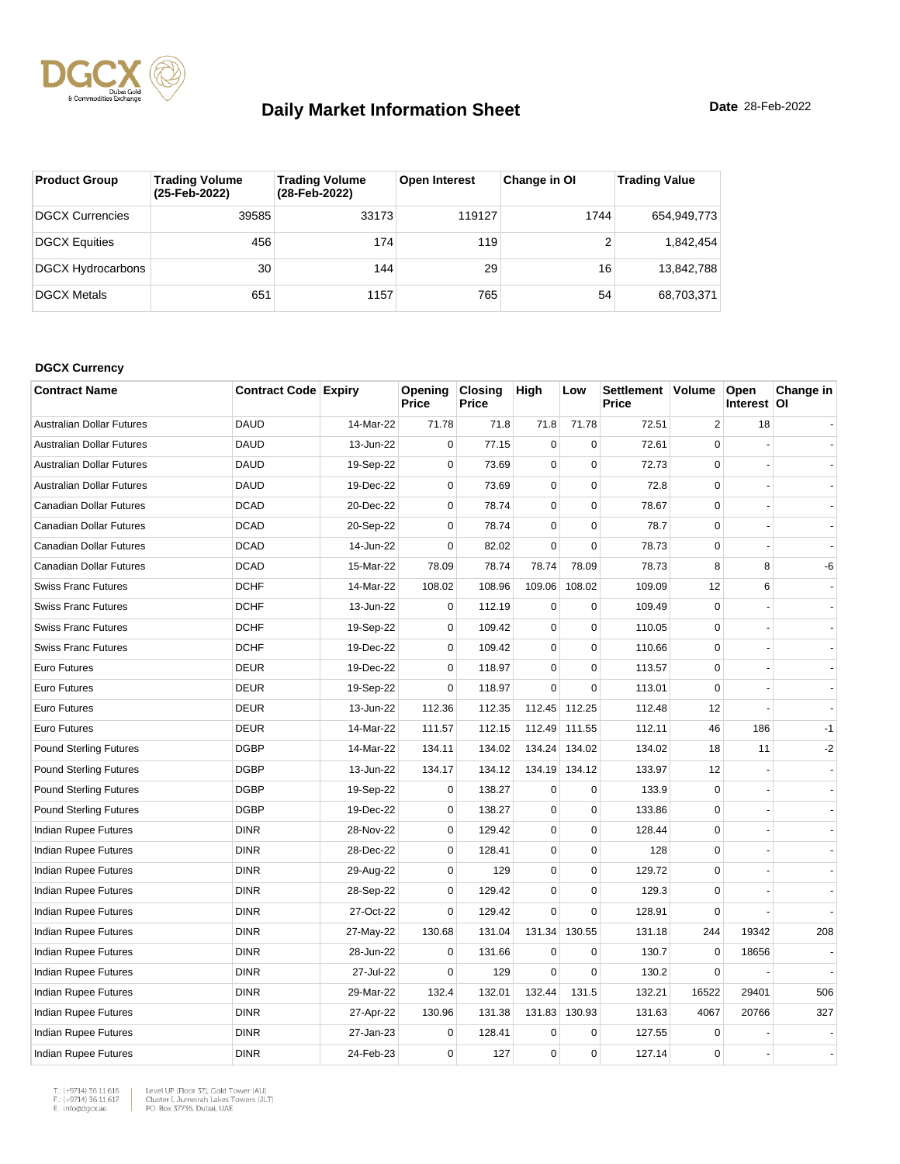

| <b>Product Group</b>     | <b>Trading Volume</b><br>(25-Feb-2022) | <b>Trading Volume</b><br>(28-Feb-2022) | <b>Open Interest</b> | Change in OI | <b>Trading Value</b> |
|--------------------------|----------------------------------------|----------------------------------------|----------------------|--------------|----------------------|
| <b>DGCX Currencies</b>   | 39585                                  | 33173                                  | 119127               | 1744         | 654,949,773          |
| <b>DGCX Equities</b>     | 456                                    | 174                                    | 119                  |              | 1,842,454            |
| <b>DGCX Hydrocarbons</b> | 30                                     | 144                                    | 29                   | 16           | 13.842.788           |
| <b>DGCX Metals</b>       | 651                                    | 1157                                   | 765                  | 54           | 68,703,371           |

#### **DGCX Currency**

| <b>Contract Name</b>             | <b>Contract Code Expiry</b> |           | Opening<br>Price | <b>Closing</b><br>Price | High        | Low           | Settlement Volume<br>Price |                | Open<br>Interest   OI | Change in |
|----------------------------------|-----------------------------|-----------|------------------|-------------------------|-------------|---------------|----------------------------|----------------|-----------------------|-----------|
| <b>Australian Dollar Futures</b> | <b>DAUD</b>                 | 14-Mar-22 | 71.78            | 71.8                    | 71.8        | 71.78         | 72.51                      | $\overline{2}$ | 18                    |           |
| <b>Australian Dollar Futures</b> | <b>DAUD</b>                 | 13-Jun-22 | $\mathbf 0$      | 77.15                   | $\mathbf 0$ | $\Omega$      | 72.61                      | $\Omega$       |                       |           |
| <b>Australian Dollar Futures</b> | <b>DAUD</b>                 | 19-Sep-22 | $\mathbf 0$      | 73.69                   | $\mathbf 0$ | $\mathbf 0$   | 72.73                      | $\mathbf 0$    |                       |           |
| <b>Australian Dollar Futures</b> | <b>DAUD</b>                 | 19-Dec-22 | $\mathbf 0$      | 73.69                   | $\mathbf 0$ | $\mathbf 0$   | 72.8                       | $\mathbf 0$    |                       |           |
| Canadian Dollar Futures          | <b>DCAD</b>                 | 20-Dec-22 | $\mathbf 0$      | 78.74                   | $\pmb{0}$   | $\mathbf 0$   | 78.67                      | $\Omega$       |                       |           |
| Canadian Dollar Futures          | <b>DCAD</b>                 | 20-Sep-22 | $\mathbf 0$      | 78.74                   | $\mathsf 0$ | $\pmb{0}$     | 78.7                       | $\mathbf 0$    |                       |           |
| Canadian Dollar Futures          | <b>DCAD</b>                 | 14-Jun-22 | $\mathbf 0$      | 82.02                   | $\mathbf 0$ | $\Omega$      | 78.73                      | $\mathbf 0$    |                       |           |
| Canadian Dollar Futures          | <b>DCAD</b>                 | 15-Mar-22 | 78.09            | 78.74                   | 78.74       | 78.09         | 78.73                      | 8              | 8                     | -6        |
| <b>Swiss Franc Futures</b>       | <b>DCHF</b>                 | 14-Mar-22 | 108.02           | 108.96                  | 109.06      | 108.02        | 109.09                     | 12             | 6                     |           |
| <b>Swiss Franc Futures</b>       | <b>DCHF</b>                 | 13-Jun-22 | $\mathbf 0$      | 112.19                  | $\mathbf 0$ | $\mathbf 0$   | 109.49                     | $\Omega$       |                       |           |
| <b>Swiss Franc Futures</b>       | <b>DCHF</b>                 | 19-Sep-22 | $\mathbf 0$      | 109.42                  | $\mathbf 0$ | $\mathbf 0$   | 110.05                     | $\mathbf 0$    |                       |           |
| <b>Swiss Franc Futures</b>       | <b>DCHF</b>                 | 19-Dec-22 | $\mathbf 0$      | 109.42                  | $\mathbf 0$ | $\mathbf 0$   | 110.66                     | $\mathbf 0$    |                       |           |
| Euro Futures                     | <b>DEUR</b>                 | 19-Dec-22 | $\mathbf 0$      | 118.97                  | $\mathbf 0$ | $\mathbf 0$   | 113.57                     | $\mathbf 0$    |                       |           |
| Euro Futures                     | <b>DEUR</b>                 | 19-Sep-22 | $\mathbf 0$      | 118.97                  | $\mathbf 0$ | $\mathbf 0$   | 113.01                     | $\Omega$       |                       |           |
| <b>Euro Futures</b>              | <b>DEUR</b>                 | 13-Jun-22 | 112.36           | 112.35                  | 112.45      | 112.25        | 112.48                     | 12             |                       |           |
| <b>Euro Futures</b>              | <b>DEUR</b>                 | 14-Mar-22 | 111.57           | 112.15                  |             | 112.49 111.55 | 112.11                     | 46             | 186                   | $-1$      |
| <b>Pound Sterling Futures</b>    | <b>DGBP</b>                 | 14-Mar-22 | 134.11           | 134.02                  | 134.24      | 134.02        | 134.02                     | 18             | 11                    | $-2$      |
| <b>Pound Sterling Futures</b>    | <b>DGBP</b>                 | 13-Jun-22 | 134.17           | 134.12                  |             | 134.19 134.12 | 133.97                     | 12             |                       |           |
| <b>Pound Sterling Futures</b>    | <b>DGBP</b>                 | 19-Sep-22 | $\mathbf 0$      | 138.27                  | $\mathbf 0$ | $\pmb{0}$     | 133.9                      | $\mathbf 0$    |                       |           |
| <b>Pound Sterling Futures</b>    | <b>DGBP</b>                 | 19-Dec-22 | $\mathbf 0$      | 138.27                  | $\mathbf 0$ | $\mathbf 0$   | 133.86                     | $\mathbf 0$    |                       |           |
| Indian Rupee Futures             | <b>DINR</b>                 | 28-Nov-22 | $\mathbf 0$      | 129.42                  | $\pmb{0}$   | $\mathbf 0$   | 128.44                     | $\mathbf 0$    |                       |           |
| Indian Rupee Futures             | <b>DINR</b>                 | 28-Dec-22 | 0                | 128.41                  | $\pmb{0}$   | 0             | 128                        | $\Omega$       |                       |           |
| Indian Rupee Futures             | <b>DINR</b>                 | 29-Aug-22 | $\Omega$         | 129                     | $\mathbf 0$ | $\mathbf 0$   | 129.72                     | $\Omega$       |                       |           |
| Indian Rupee Futures             | <b>DINR</b>                 | 28-Sep-22 | $\mathbf 0$      | 129.42                  | $\mathbf 0$ | $\mathbf 0$   | 129.3                      | $\Omega$       |                       |           |
| Indian Rupee Futures             | <b>DINR</b>                 | 27-Oct-22 | $\mathbf 0$      | 129.42                  | $\mathbf 0$ | $\mathbf 0$   | 128.91                     | $\Omega$       |                       |           |
| Indian Rupee Futures             | <b>DINR</b>                 | 27-May-22 | 130.68           | 131.04                  | 131.34      | 130.55        | 131.18                     | 244            | 19342                 | 208       |
| Indian Rupee Futures             | <b>DINR</b>                 | 28-Jun-22 | $\mathbf 0$      | 131.66                  | $\mathbf 0$ | $\mathbf 0$   | 130.7                      | $\mathbf 0$    | 18656                 |           |
| <b>Indian Rupee Futures</b>      | <b>DINR</b>                 | 27-Jul-22 | $\Omega$         | 129                     | $\Omega$    | 0             | 130.2                      | $\mathbf 0$    |                       |           |
| Indian Rupee Futures             | <b>DINR</b>                 | 29-Mar-22 | 132.4            | 132.01                  | 132.44      | 131.5         | 132.21                     | 16522          | 29401                 | 506       |
| Indian Rupee Futures             | <b>DINR</b>                 | 27-Apr-22 | 130.96           | 131.38                  | 131.83      | 130.93        | 131.63                     | 4067           | 20766                 | 327       |
| Indian Rupee Futures             | <b>DINR</b>                 | 27-Jan-23 | $\mathbf 0$      | 128.41                  | $\mathbf 0$ | 0             | 127.55                     | 0              |                       |           |
| Indian Rupee Futures             | <b>DINR</b>                 | 24-Feb-23 | $\mathbf 0$      | 127                     | 0           | $\mathbf 0$   | 127.14                     | $\mathbf 0$    |                       |           |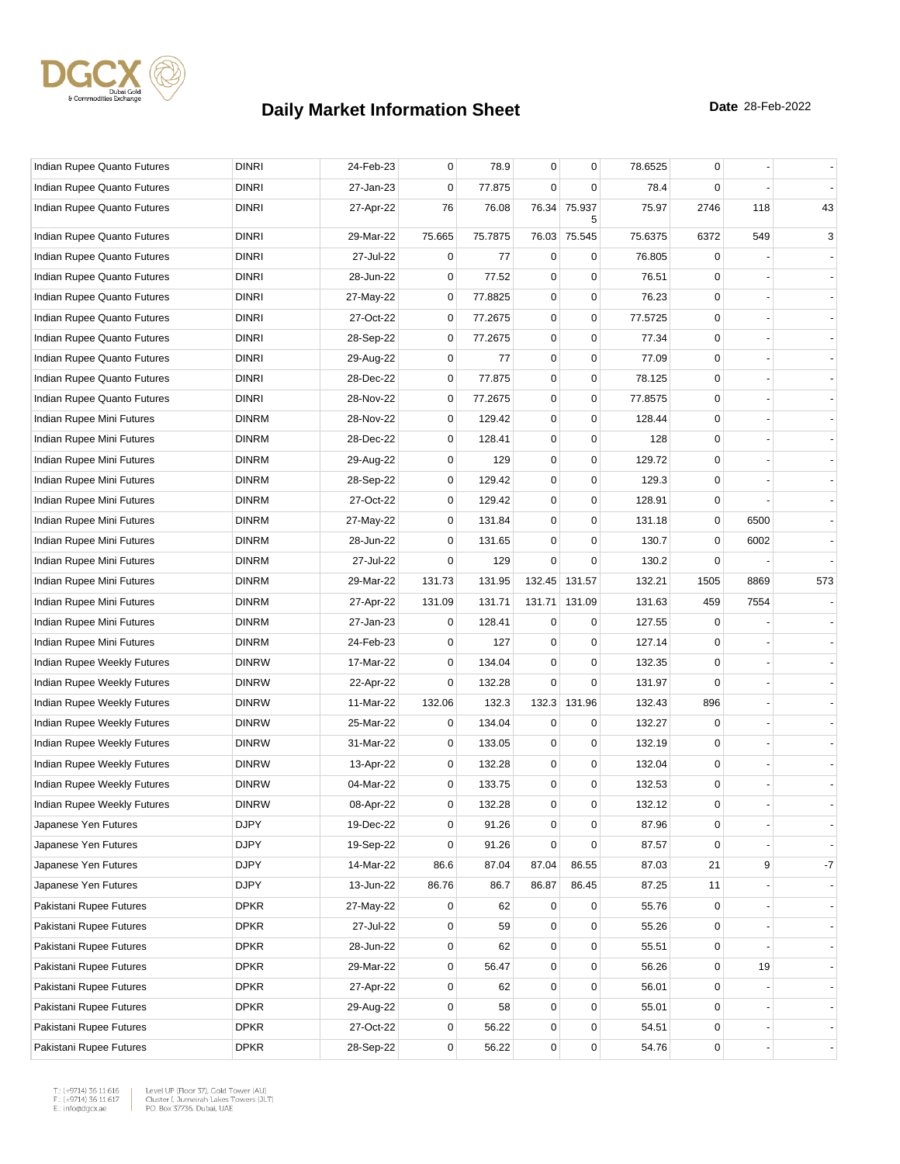

| Indian Rupee Quanto Futures | <b>DINRI</b> | 24-Feb-23 | 0           | 78.9    | $\mathbf 0$ | $\mathbf 0$   | 78.6525 | 0           |      |      |
|-----------------------------|--------------|-----------|-------------|---------|-------------|---------------|---------|-------------|------|------|
| Indian Rupee Quanto Futures | <b>DINRI</b> | 27-Jan-23 | 0           | 77.875  | $\mathbf 0$ | 0             | 78.4    | $\Omega$    |      |      |
| Indian Rupee Quanto Futures | <b>DINRI</b> | 27-Apr-22 | 76          | 76.08   | 76.34       | 75.937<br>5   | 75.97   | 2746        | 118  | 43   |
| Indian Rupee Quanto Futures | <b>DINRI</b> | 29-Mar-22 | 75.665      | 75.7875 |             | 76.03 75.545  | 75.6375 | 6372        | 549  | 3    |
| Indian Rupee Quanto Futures | <b>DINRI</b> | 27-Jul-22 | 0           | 77      | 0           | $\mathbf 0$   | 76.805  | 0           |      |      |
| Indian Rupee Quanto Futures | <b>DINRI</b> | 28-Jun-22 | $\mathbf 0$ | 77.52   | 0           | $\mathbf 0$   | 76.51   | $\Omega$    |      |      |
| Indian Rupee Quanto Futures | <b>DINRI</b> | 27-May-22 | $\mathbf 0$ | 77.8825 | 0           | $\mathbf 0$   | 76.23   | $\Omega$    |      |      |
| Indian Rupee Quanto Futures | <b>DINRI</b> | 27-Oct-22 | 0           | 77.2675 | $\pmb{0}$   | $\mathbf 0$   | 77.5725 | 0           |      |      |
| Indian Rupee Quanto Futures | <b>DINRI</b> | 28-Sep-22 | 0           | 77.2675 | 0           | $\mathbf 0$   | 77.34   | 0           |      |      |
| Indian Rupee Quanto Futures | <b>DINRI</b> | 29-Aug-22 | $\mathbf 0$ | 77      | 0           | $\mathbf 0$   | 77.09   | $\mathbf 0$ |      |      |
| Indian Rupee Quanto Futures | <b>DINRI</b> | 28-Dec-22 | $\mathbf 0$ | 77.875  | $\mathbf 0$ | $\pmb{0}$     | 78.125  | 0           |      |      |
| Indian Rupee Quanto Futures | <b>DINRI</b> | 28-Nov-22 | 0           | 77.2675 | 0           | $\mathbf 0$   | 77.8575 | 0           |      |      |
| Indian Rupee Mini Futures   | <b>DINRM</b> | 28-Nov-22 | $\mathbf 0$ | 129.42  | 0           | $\mathbf 0$   | 128.44  | $\Omega$    |      |      |
| Indian Rupee Mini Futures   | <b>DINRM</b> | 28-Dec-22 | $\mathbf 0$ | 128.41  | $\pmb{0}$   | $\mathbf 0$   | 128     | 0           |      |      |
| Indian Rupee Mini Futures   | <b>DINRM</b> | 29-Aug-22 | 0           | 129     | 0           | $\mathbf 0$   | 129.72  | 0           |      |      |
| Indian Rupee Mini Futures   | <b>DINRM</b> | 28-Sep-22 | $\mathbf 0$ | 129.42  | 0           | $\mathbf 0$   | 129.3   | $\Omega$    |      |      |
| Indian Rupee Mini Futures   | <b>DINRM</b> | 27-Oct-22 | 0           | 129.42  | 0           | $\mathbf 0$   | 128.91  | 0           |      |      |
| Indian Rupee Mini Futures   | <b>DINRM</b> | 27-May-22 | 0           | 131.84  | $\mathbf 0$ | $\mathbf 0$   | 131.18  | 0           | 6500 |      |
| Indian Rupee Mini Futures   | <b>DINRM</b> | 28-Jun-22 | 0           | 131.65  | 0           | 0             | 130.7   | 0           | 6002 |      |
| Indian Rupee Mini Futures   | <b>DINRM</b> | 27-Jul-22 | 0           | 129     | 0           | $\mathbf 0$   | 130.2   | 0           |      |      |
| Indian Rupee Mini Futures   | <b>DINRM</b> | 29-Mar-22 | 131.73      | 131.95  |             | 132.45 131.57 | 132.21  | 1505        | 8869 | 573  |
| Indian Rupee Mini Futures   | <b>DINRM</b> | 27-Apr-22 | 131.09      | 131.71  | 131.71      | 131.09        | 131.63  | 459         | 7554 |      |
| Indian Rupee Mini Futures   | <b>DINRM</b> | 27-Jan-23 | 0           | 128.41  | 0           | 0             | 127.55  | 0           |      |      |
| Indian Rupee Mini Futures   | <b>DINRM</b> | 24-Feb-23 | $\mathbf 0$ | 127     | $\mathbf 0$ | $\mathbf 0$   | 127.14  | 0           |      |      |
| Indian Rupee Weekly Futures | <b>DINRW</b> | 17-Mar-22 | 0           | 134.04  | $\mathbf 0$ | $\mathbf 0$   | 132.35  | 0           |      |      |
| Indian Rupee Weekly Futures | <b>DINRW</b> | 22-Apr-22 | 0           | 132.28  | 0           | $\mathbf 0$   | 131.97  | $\Omega$    |      |      |
| Indian Rupee Weekly Futures | <b>DINRW</b> | 11-Mar-22 | 132.06      | 132.3   |             | 132.3 131.96  | 132.43  | 896         |      |      |
| Indian Rupee Weekly Futures | <b>DINRW</b> | 25-Mar-22 | 0           | 134.04  | 0           | 0             | 132.27  | 0           |      |      |
| Indian Rupee Weekly Futures | <b>DINRW</b> | 31-Mar-22 | 0           | 133.05  | 0           | $\mathbf 0$   | 132.19  | 0           |      |      |
| Indian Rupee Weekly Futures | <b>DINRW</b> | 13-Apr-22 | $\mathbf 0$ | 132.28  | 0           | $\mathbf 0$   | 132.04  | $\mathbf 0$ |      |      |
| Indian Rupee Weekly Futures | <b>DINRW</b> | 04-Mar-22 | $\mathbf 0$ | 133.75  | $\mathbf 0$ | $\pmb{0}$     | 132.53  | 0           |      |      |
| Indian Rupee Weekly Futures | <b>DINRW</b> | 08-Apr-22 | 0           | 132.28  | 0           | $\mathbf 0$   | 132.12  | 0           |      |      |
| Japanese Yen Futures        | <b>DJPY</b>  | 19-Dec-22 | 0           | 91.26   | 0           | 0             | 87.96   | 0           |      |      |
| Japanese Yen Futures        | <b>DJPY</b>  | 19-Sep-22 | 0           | 91.26   | $\mathbf 0$ | $\mathbf 0$   | 87.57   | $\mathbf 0$ |      | ÷.   |
| Japanese Yen Futures        | <b>DJPY</b>  | 14-Mar-22 | 86.6        | 87.04   | 87.04       | 86.55         | 87.03   | 21          | 9    | $-7$ |
| Japanese Yen Futures        | <b>DJPY</b>  | 13-Jun-22 | 86.76       | 86.7    | 86.87       | 86.45         | 87.25   | 11          |      |      |
| Pakistani Rupee Futures     | <b>DPKR</b>  | 27-May-22 | 0           | 62      | 0           | 0             | 55.76   | 0           |      |      |
| Pakistani Rupee Futures     | <b>DPKR</b>  | 27-Jul-22 | 0           | 59      | $\mathbf 0$ | $\mathbf 0$   | 55.26   | 0           |      |      |
| Pakistani Rupee Futures     | <b>DPKR</b>  | 28-Jun-22 | 0           | 62      | 0           | $\mathbf 0$   | 55.51   | 0           |      |      |
| Pakistani Rupee Futures     | <b>DPKR</b>  | 29-Mar-22 | $\mathbf 0$ | 56.47   | 0           | $\mathbf 0$   | 56.26   | 0           | 19   |      |
| Pakistani Rupee Futures     | <b>DPKR</b>  | 27-Apr-22 | $\mathbf 0$ | 62      | $\mathbf 0$ | $\mathbf 0$   | 56.01   | 0           |      |      |
| Pakistani Rupee Futures     | <b>DPKR</b>  | 29-Aug-22 | 0           | 58      | 0           | $\mathbf 0$   | 55.01   | 0           |      |      |
| Pakistani Rupee Futures     | <b>DPKR</b>  | 27-Oct-22 | 0           | 56.22   | 0           | $\mathbf 0$   | 54.51   | $\mathbf 0$ |      |      |
| Pakistani Rupee Futures     | <b>DPKR</b>  | 28-Sep-22 | 0           | 56.22   | 0           | $\pmb{0}$     | 54.76   | 0           |      |      |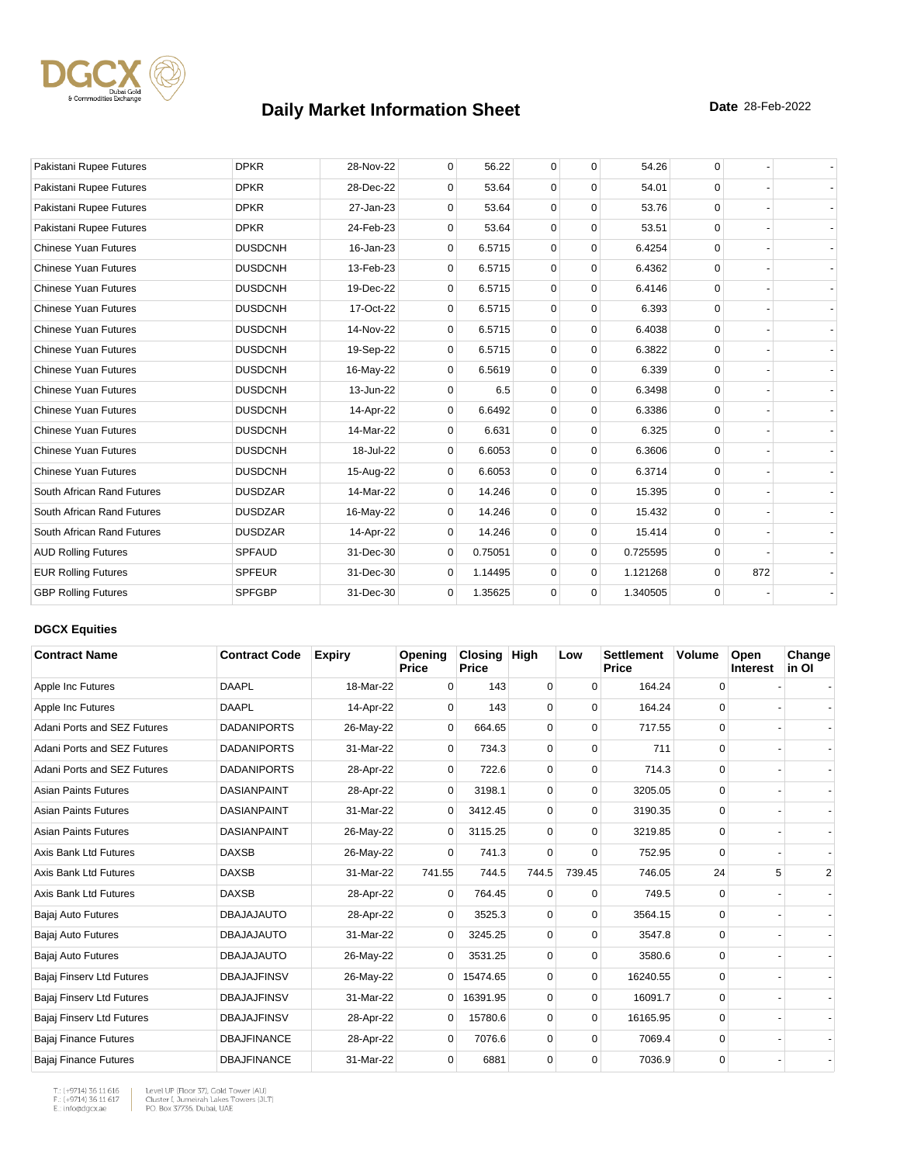

| Pakistani Rupee Futures     | <b>DPKR</b>    | 28-Nov-22 | $\mathbf 0$  | 56.22   | $\mathbf 0$ | $\mathbf 0$ | 54.26    | 0        |     |  |
|-----------------------------|----------------|-----------|--------------|---------|-------------|-------------|----------|----------|-----|--|
| Pakistani Rupee Futures     | <b>DPKR</b>    | 28-Dec-22 | $\Omega$     | 53.64   | $\mathbf 0$ | $\Omega$    | 54.01    | $\Omega$ |     |  |
| Pakistani Rupee Futures     | <b>DPKR</b>    | 27-Jan-23 | $\mathbf 0$  | 53.64   | $\mathbf 0$ | $\mathbf 0$ | 53.76    | $\Omega$ |     |  |
| Pakistani Rupee Futures     | <b>DPKR</b>    | 24-Feb-23 | 0            | 53.64   | $\mathbf 0$ | $\mathbf 0$ | 53.51    | $\Omega$ |     |  |
| <b>Chinese Yuan Futures</b> | <b>DUSDCNH</b> | 16-Jan-23 | $\mathbf{0}$ | 6.5715  | $\mathbf 0$ | $\mathbf 0$ | 6.4254   | $\Omega$ |     |  |
| <b>Chinese Yuan Futures</b> | <b>DUSDCNH</b> | 13-Feb-23 | 0            | 6.5715  | $\mathbf 0$ | $\mathbf 0$ | 6.4362   | $\Omega$ |     |  |
| <b>Chinese Yuan Futures</b> | <b>DUSDCNH</b> | 19-Dec-22 | 0            | 6.5715  | $\mathbf 0$ | $\mathbf 0$ | 6.4146   | $\Omega$ |     |  |
| <b>Chinese Yuan Futures</b> | <b>DUSDCNH</b> | 17-Oct-22 | $\mathbf{0}$ | 6.5715  | $\mathbf 0$ | $\mathbf 0$ | 6.393    | $\Omega$ |     |  |
| <b>Chinese Yuan Futures</b> | <b>DUSDCNH</b> | 14-Nov-22 | $\Omega$     | 6.5715  | $\mathbf 0$ | $\Omega$    | 6.4038   | $\Omega$ |     |  |
| <b>Chinese Yuan Futures</b> | <b>DUSDCNH</b> | 19-Sep-22 | $\mathbf{0}$ | 6.5715  | $\mathbf 0$ | $\mathbf 0$ | 6.3822   | $\Omega$ |     |  |
| <b>Chinese Yuan Futures</b> | <b>DUSDCNH</b> | 16-May-22 | 0            | 6.5619  | $\mathbf 0$ | $\mathbf 0$ | 6.339    | $\Omega$ |     |  |
| <b>Chinese Yuan Futures</b> | <b>DUSDCNH</b> | 13-Jun-22 | $\Omega$     | 6.5     | $\mathbf 0$ | $\mathbf 0$ | 6.3498   | $\Omega$ |     |  |
| <b>Chinese Yuan Futures</b> | <b>DUSDCNH</b> | 14-Apr-22 | 0            | 6.6492  | $\mathbf 0$ | $\mathbf 0$ | 6.3386   | $\Omega$ |     |  |
| <b>Chinese Yuan Futures</b> | <b>DUSDCNH</b> | 14-Mar-22 | $\Omega$     | 6.631   | $\mathbf 0$ | $\mathbf 0$ | 6.325    | $\Omega$ |     |  |
| <b>Chinese Yuan Futures</b> | <b>DUSDCNH</b> | 18-Jul-22 | $\mathbf{0}$ | 6.6053  | $\mathbf 0$ | $\mathbf 0$ | 6.3606   | $\Omega$ |     |  |
| <b>Chinese Yuan Futures</b> | <b>DUSDCNH</b> | 15-Aug-22 | 0            | 6.6053  | $\mathbf 0$ | $\Omega$    | 6.3714   | $\Omega$ |     |  |
| South African Rand Futures  | <b>DUSDZAR</b> | 14-Mar-22 | 0            | 14.246  | $\mathbf 0$ | $\mathbf 0$ | 15.395   | $\Omega$ |     |  |
| South African Rand Futures  | <b>DUSDZAR</b> | 16-May-22 | $\mathbf 0$  | 14.246  | $\mathbf 0$ | $\mathbf 0$ | 15.432   | $\Omega$ |     |  |
| South African Rand Futures  | <b>DUSDZAR</b> | 14-Apr-22 | $\Omega$     | 14.246  | $\mathbf 0$ | $\mathbf 0$ | 15.414   | $\Omega$ |     |  |
| <b>AUD Rolling Futures</b>  | <b>SPFAUD</b>  | 31-Dec-30 | $\mathbf 0$  | 0.75051 | $\Omega$    | $\mathbf 0$ | 0.725595 | $\Omega$ |     |  |
| <b>EUR Rolling Futures</b>  | <b>SPFEUR</b>  | 31-Dec-30 | $\Omega$     | 1.14495 | $\mathbf 0$ | $\mathbf 0$ | 1.121268 | $\Omega$ | 872 |  |
| <b>GBP Rolling Futures</b>  | <b>SPFGBP</b>  | 31-Dec-30 | $\mathbf{0}$ | 1.35625 | $\mathbf 0$ | $\mathbf 0$ | 1.340505 | $\Omega$ |     |  |

### **DGCX Equities**

| <b>Contract Name</b>         | <b>Contract Code</b> | <b>Expiry</b> | Opening<br><b>Price</b> | Closing<br><b>Price</b> | <b>High</b> | Low         | <b>Settlement</b><br>Price | <b>Volume</b> | Open<br><b>Interest</b> | Change<br>in OI |
|------------------------------|----------------------|---------------|-------------------------|-------------------------|-------------|-------------|----------------------------|---------------|-------------------------|-----------------|
| Apple Inc Futures            | <b>DAAPL</b>         | 18-Mar-22     | $\Omega$                | 143                     | 0           | $\Omega$    | 164.24                     | 0             |                         |                 |
| Apple Inc Futures            | <b>DAAPL</b>         | 14-Apr-22     | $\Omega$                | 143                     | 0           | 0           | 164.24                     | 0             |                         |                 |
| Adani Ports and SEZ Futures  | <b>DADANIPORTS</b>   | 26-May-22     | 0                       | 664.65                  | $\mathbf 0$ | 0           | 717.55                     | $\mathbf 0$   |                         |                 |
| Adani Ports and SEZ Futures  | <b>DADANIPORTS</b>   | 31-Mar-22     | $\Omega$                | 734.3                   | 0           | $\Omega$    | 711                        | 0             |                         |                 |
| Adani Ports and SEZ Futures  | <b>DADANIPORTS</b>   | 28-Apr-22     | 0                       | 722.6                   | 0           | 0           | 714.3                      | 0             |                         |                 |
| <b>Asian Paints Futures</b>  | <b>DASIANPAINT</b>   | 28-Apr-22     | $\Omega$                | 3198.1                  | 0           | $\Omega$    | 3205.05                    | 0             |                         |                 |
| <b>Asian Paints Futures</b>  | <b>DASIANPAINT</b>   | 31-Mar-22     | $\Omega$                | 3412.45                 | $\Omega$    | $\Omega$    | 3190.35                    | $\Omega$      |                         |                 |
| <b>Asian Paints Futures</b>  | <b>DASIANPAINT</b>   | 26-May-22     | $\overline{0}$          | 3115.25                 | $\mathbf 0$ | $\mathbf 0$ | 3219.85                    | 0             |                         |                 |
| Axis Bank Ltd Futures        | <b>DAXSB</b>         | 26-May-22     | 0                       | 741.3                   | $\mathbf 0$ | 0           | 752.95                     | 0             |                         |                 |
| Axis Bank Ltd Futures        | <b>DAXSB</b>         | 31-Mar-22     | 741.55                  | 744.5                   | 744.5       | 739.45      | 746.05                     | 24            | 5                       | $\overline{2}$  |
| Axis Bank Ltd Futures        | <b>DAXSB</b>         | 28-Apr-22     | 0                       | 764.45                  | 0           | 0           | 749.5                      | 0             |                         |                 |
| Bajaj Auto Futures           | <b>DBAJAJAUTO</b>    | 28-Apr-22     | $\Omega$                | 3525.3                  | 0           | $\Omega$    | 3564.15                    | 0             |                         |                 |
| Bajaj Auto Futures           | <b>DBAJAJAUTO</b>    | 31-Mar-22     | $\Omega$                | 3245.25                 | $\Omega$    | $\Omega$    | 3547.8                     | $\Omega$      |                         |                 |
| Bajaj Auto Futures           | <b>DBAJAJAUTO</b>    | 26-May-22     | $\mathbf{0}$            | 3531.25                 | $\mathbf 0$ | 0           | 3580.6                     | 0             |                         |                 |
| Bajaj Finserv Ltd Futures    | <b>DBAJAJFINSV</b>   | 26-May-22     | $\overline{0}$          | 15474.65                | 0           | 0           | 16240.55                   | 0             |                         |                 |
| Bajaj Finserv Ltd Futures    | <b>DBAJAJFINSV</b>   | 31-Mar-22     | $\overline{0}$          | 16391.95                | 0           | $\Omega$    | 16091.7                    | 0             |                         |                 |
| Bajaj Finserv Ltd Futures    | <b>DBAJAJFINSV</b>   | 28-Apr-22     | $\mathbf{0}$            | 15780.6                 | $\mathbf 0$ | $\Omega$    | 16165.95                   | 0             |                         |                 |
| Bajaj Finance Futures        | <b>DBAJFINANCE</b>   | 28-Apr-22     | 0                       | 7076.6                  | 0           | $\Omega$    | 7069.4                     | 0             |                         |                 |
| <b>Bajaj Finance Futures</b> | <b>DBAJFINANCE</b>   | 31-Mar-22     | $\Omega$                | 6881                    | 0           | $\Omega$    | 7036.9                     | 0             |                         |                 |

T.: (+9714) 36 11 616<br>F.: (+9714) 36 11 617<br>E.: info@dgcx.ae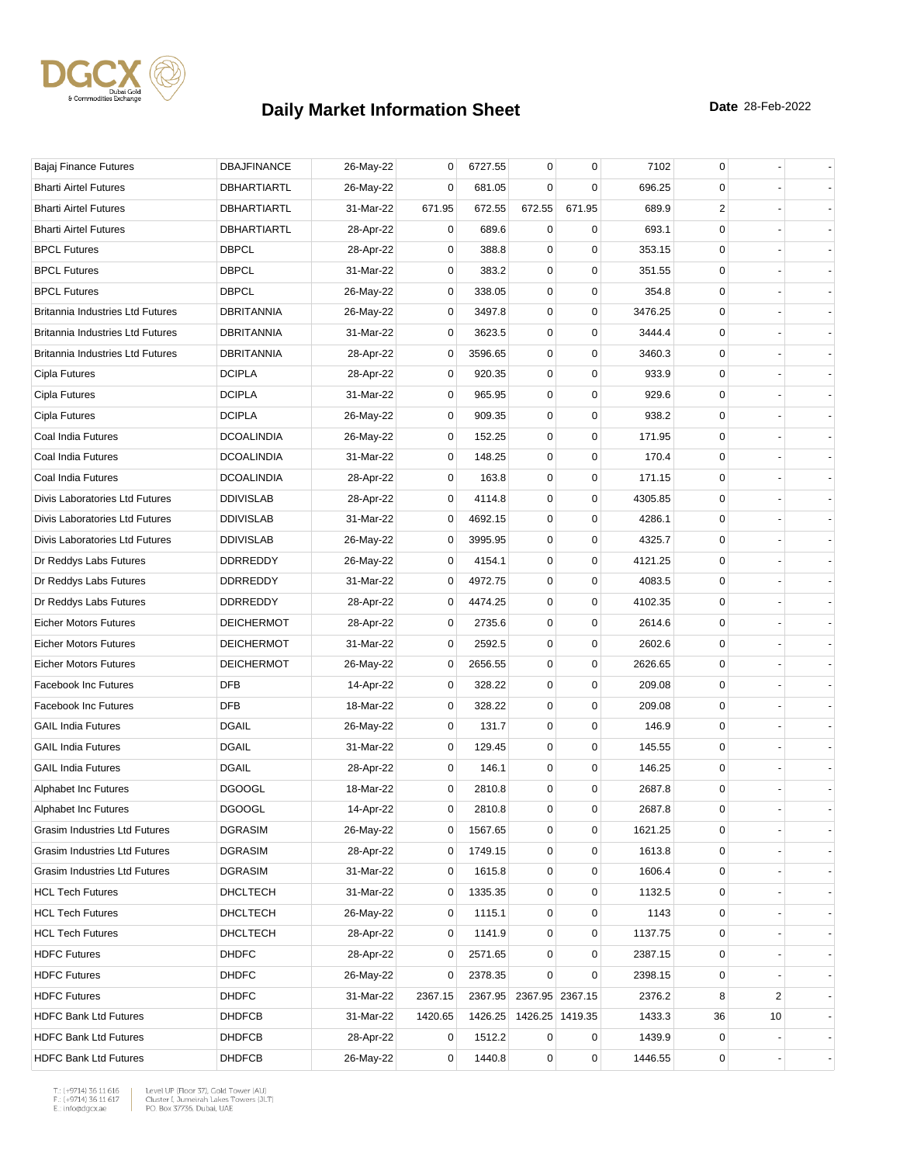

| Bajaj Finance Futures                   | <b>DBAJFINANCE</b> | 26-May-22 | 0       | 6727.55 | 0      | $\mathbf 0$     | 7102    | 0           |                |  |
|-----------------------------------------|--------------------|-----------|---------|---------|--------|-----------------|---------|-------------|----------------|--|
| <b>Bharti Airtel Futures</b>            | DBHARTIARTL        | 26-May-22 | 0       | 681.05  | 0      | 0               | 696.25  | 0           |                |  |
| <b>Bharti Airtel Futures</b>            | <b>DBHARTIARTL</b> | 31-Mar-22 | 671.95  | 672.55  | 672.55 | 671.95          | 689.9   | 2           |                |  |
| <b>Bharti Airtel Futures</b>            | DBHARTIARTL        | 28-Apr-22 | 0       | 689.6   | 0      | 0               | 693.1   | $\mathbf 0$ |                |  |
| <b>BPCL Futures</b>                     | <b>DBPCL</b>       | 28-Apr-22 | 0       | 388.8   | 0      | 0               | 353.15  | 0           |                |  |
| <b>BPCL Futures</b>                     | <b>DBPCL</b>       | 31-Mar-22 | 0       | 383.2   | 0      | $\mathbf 0$     | 351.55  | 0           |                |  |
| <b>BPCL Futures</b>                     | <b>DBPCL</b>       | 26-May-22 | 0       | 338.05  | 0      | $\mathbf 0$     | 354.8   | 0           |                |  |
| <b>Britannia Industries Ltd Futures</b> | <b>DBRITANNIA</b>  | 26-May-22 | 0       | 3497.8  | 0      | 0               | 3476.25 | 0           |                |  |
| <b>Britannia Industries Ltd Futures</b> | DBRITANNIA         | 31-Mar-22 | 0       | 3623.5  | 0      | $\mathbf 0$     | 3444.4  | 0           |                |  |
| Britannia Industries Ltd Futures        | <b>DBRITANNIA</b>  | 28-Apr-22 | 0       | 3596.65 | 0      | $\mathbf 0$     | 3460.3  | $\mathbf 0$ |                |  |
| Cipla Futures                           | <b>DCIPLA</b>      | 28-Apr-22 | 0       | 920.35  | 0      | $\mathbf 0$     | 933.9   | 0           |                |  |
| Cipla Futures                           | <b>DCIPLA</b>      | 31-Mar-22 | 0       | 965.95  | 0      | $\mathbf 0$     | 929.6   | 0           |                |  |
| Cipla Futures                           | <b>DCIPLA</b>      | 26-May-22 | 0       | 909.35  | 0      | $\mathbf 0$     | 938.2   | 0           |                |  |
| Coal India Futures                      | <b>DCOALINDIA</b>  | 26-May-22 | 0       | 152.25  | 0      | $\mathbf 0$     | 171.95  | 0           |                |  |
| Coal India Futures                      | <b>DCOALINDIA</b>  | 31-Mar-22 | 0       | 148.25  | 0      | $\mathbf 0$     | 170.4   | $\mathbf 0$ |                |  |
| Coal India Futures                      | <b>DCOALINDIA</b>  | 28-Apr-22 | 0       | 163.8   | 0      | $\mathbf 0$     | 171.15  | 0           |                |  |
| Divis Laboratories Ltd Futures          | <b>DDIVISLAB</b>   | 28-Apr-22 | 0       | 4114.8  | 0      | $\mathbf 0$     | 4305.85 | 0           |                |  |
| Divis Laboratories Ltd Futures          | <b>DDIVISLAB</b>   | 31-Mar-22 | 0       | 4692.15 | 0      | $\mathbf 0$     | 4286.1  | $\mathbf 0$ |                |  |
| Divis Laboratories Ltd Futures          | <b>DDIVISLAB</b>   | 26-May-22 | 0       | 3995.95 | 0      | 0               | 4325.7  | 0           |                |  |
| Dr Reddys Labs Futures                  | DDRREDDY           | 26-May-22 | 0       | 4154.1  | 0      | $\mathbf 0$     | 4121.25 | 0           |                |  |
| Dr Reddys Labs Futures                  | DDRREDDY           | 31-Mar-22 | 0       | 4972.75 | 0      | $\mathbf 0$     | 4083.5  | $\mathbf 0$ |                |  |
| Dr Reddys Labs Futures                  | DDRREDDY           | 28-Apr-22 | 0       | 4474.25 | 0      | 0               | 4102.35 | 0           |                |  |
| <b>Eicher Motors Futures</b>            | <b>DEICHERMOT</b>  | 28-Apr-22 | 0       | 2735.6  | 0      | $\mathbf 0$     | 2614.6  | 0           |                |  |
| <b>Eicher Motors Futures</b>            | <b>DEICHERMOT</b>  | 31-Mar-22 | 0       | 2592.5  | 0      | $\mathbf 0$     | 2602.6  | 0           |                |  |
| <b>Eicher Motors Futures</b>            | <b>DEICHERMOT</b>  | 26-May-22 | 0       | 2656.55 | 0      | 0               | 2626.65 | 0           |                |  |
| <b>Facebook Inc Futures</b>             | <b>DFB</b>         | 14-Apr-22 | 0       | 328.22  | 0      | $\mathbf 0$     | 209.08  | 0           |                |  |
| Facebook Inc Futures                    | <b>DFB</b>         | 18-Mar-22 | 0       | 328.22  | 0      | $\mathbf 0$     | 209.08  | 0           |                |  |
| <b>GAIL India Futures</b>               | <b>DGAIL</b>       | 26-May-22 | 0       | 131.7   | 0      | $\mathbf 0$     | 146.9   | 0           |                |  |
| <b>GAIL India Futures</b>               | <b>DGAIL</b>       | 31-Mar-22 | 0       | 129.45  | 0      | $\mathbf 0$     | 145.55  | 0           |                |  |
| <b>GAIL India Futures</b>               | <b>DGAIL</b>       | 28-Apr-22 | 0       | 146.1   | 0      | $\mathbf 0$     | 146.25  | 0           |                |  |
| Alphabet Inc Futures                    | <b>DGOOGL</b>      | 18-Mar-22 | 0       | 2810.8  | 0      | $\mathbf 0$     | 2687.8  | 0           |                |  |
| Alphabet Inc Futures                    | <b>DGOOGL</b>      | 14-Apr-22 | 0       | 2810.8  | 0      | $\mathbf 0$     | 2687.8  | 0           |                |  |
| Grasim Industries Ltd Futures           | <b>DGRASIM</b>     | 26-May-22 | 0       | 1567.65 | 0      | 0               | 1621.25 | 0           |                |  |
| Grasim Industries Ltd Futures           | <b>DGRASIM</b>     | 28-Apr-22 | 0       | 1749.15 | 0      | $\mathbf 0$     | 1613.8  | 0           |                |  |
| Grasim Industries Ltd Futures           | <b>DGRASIM</b>     | 31-Mar-22 | 0       | 1615.8  | 0      | $\pmb{0}$       | 1606.4  | 0           |                |  |
| <b>HCL Tech Futures</b>                 | DHCLTECH           | 31-Mar-22 | 0       | 1335.35 | 0      | $\mathbf 0$     | 1132.5  | 0           |                |  |
| <b>HCL Tech Futures</b>                 | <b>DHCLTECH</b>    | 26-May-22 | 0       | 1115.1  | 0      | 0               | 1143    | 0           |                |  |
| <b>HCL Tech Futures</b>                 | <b>DHCLTECH</b>    | 28-Apr-22 | 0       | 1141.9  | 0      | $\pmb{0}$       | 1137.75 | 0           |                |  |
| <b>HDFC Futures</b>                     | <b>DHDFC</b>       | 28-Apr-22 | 0       | 2571.65 | 0      | 0               | 2387.15 | 0           |                |  |
| <b>HDFC Futures</b>                     | <b>DHDFC</b>       | 26-May-22 | 0       | 2378.35 | 0      | $\mathbf 0$     | 2398.15 | 0           |                |  |
| <b>HDFC Futures</b>                     | <b>DHDFC</b>       | 31-Mar-22 | 2367.15 | 2367.95 |        | 2367.95 2367.15 | 2376.2  | 8           | $\overline{c}$ |  |
| <b>HDFC Bank Ltd Futures</b>            | <b>DHDFCB</b>      | 31-Mar-22 | 1420.65 | 1426.25 |        | 1426.25 1419.35 | 1433.3  | 36          | 10             |  |
| <b>HDFC Bank Ltd Futures</b>            | <b>DHDFCB</b>      | 28-Apr-22 | 0       | 1512.2  | 0      | 0               | 1439.9  | 0           |                |  |
| <b>HDFC Bank Ltd Futures</b>            | <b>DHDFCB</b>      | 26-May-22 | 0       | 1440.8  | 0      | $\pmb{0}$       | 1446.55 | 0           |                |  |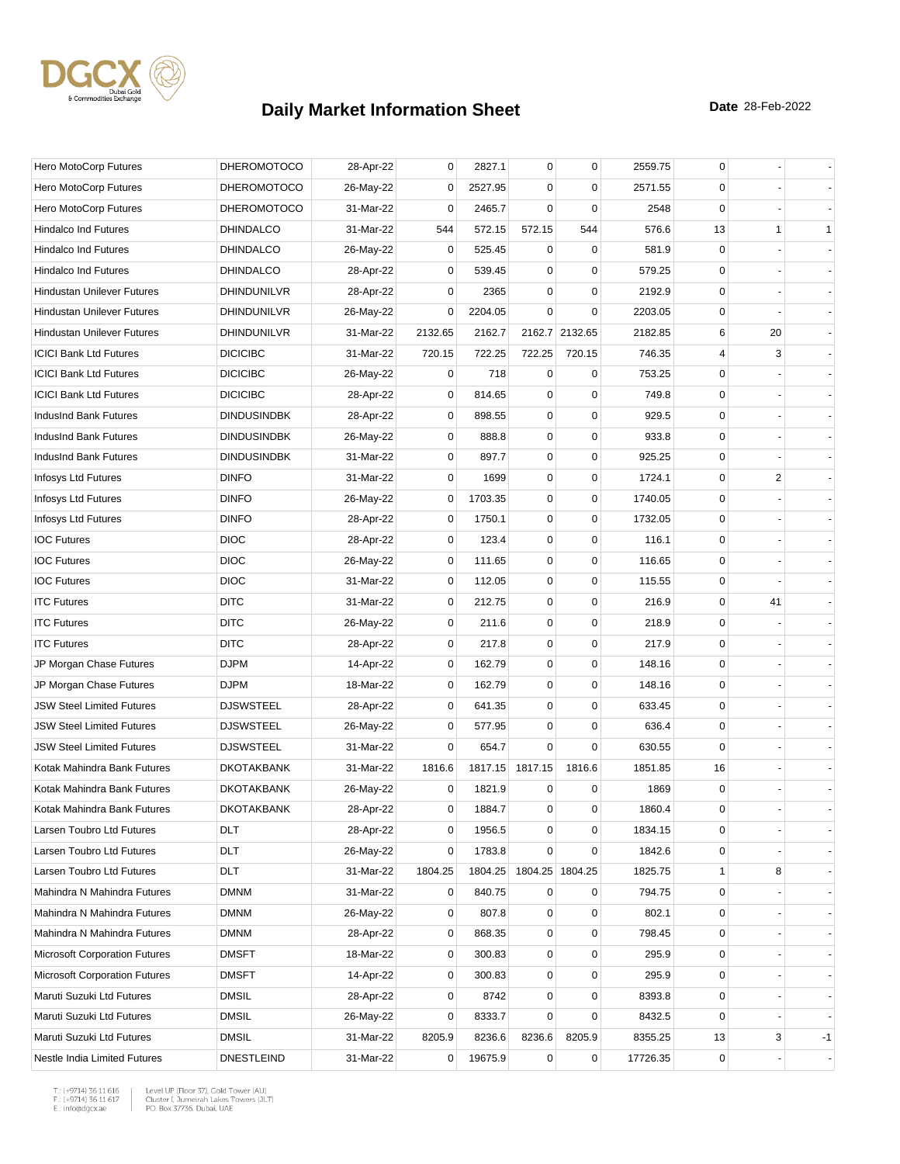

| Hero MotoCorp Futures                | <b>DHEROMOTOCO</b> | 28-Apr-22 | $\mathbf 0$ | 2827.1  | 0               | $\mathbf 0$     | 2559.75  | 0            |    |              |
|--------------------------------------|--------------------|-----------|-------------|---------|-----------------|-----------------|----------|--------------|----|--------------|
| Hero MotoCorp Futures                | <b>DHEROMOTOCO</b> | 26-May-22 | 0           | 2527.95 | 0               | 0               | 2571.55  | 0            |    |              |
| Hero MotoCorp Futures                | <b>DHEROMOTOCO</b> | 31-Mar-22 | 0           | 2465.7  | $\mathbf 0$     | $\mathbf 0$     | 2548     | $\mathbf 0$  |    |              |
| <b>Hindalco Ind Futures</b>          | <b>DHINDALCO</b>   | 31-Mar-22 | 544         | 572.15  | 572.15          | 544             | 576.6    | 13           | 1  | $\mathbf{1}$ |
| <b>Hindalco Ind Futures</b>          | <b>DHINDALCO</b>   | 26-May-22 | 0           | 525.45  | 0               | 0               | 581.9    | 0            |    |              |
| <b>Hindalco Ind Futures</b>          | <b>DHINDALCO</b>   | 28-Apr-22 | $\mathbf 0$ | 539.45  | 0               | $\mathbf 0$     | 579.25   | $\mathbf 0$  |    |              |
| Hindustan Unilever Futures           | DHINDUNILVR        | 28-Apr-22 | 0           | 2365    | $\mathbf 0$     | $\mathbf 0$     | 2192.9   | 0            |    |              |
| <b>Hindustan Unilever Futures</b>    | <b>DHINDUNILVR</b> | 26-May-22 | 0           | 2204.05 | $\mathbf 0$     | $\mathbf 0$     | 2203.05  | 0            |    |              |
| <b>Hindustan Unilever Futures</b>    | DHINDUNILVR        | 31-Mar-22 | 2132.65     | 2162.7  |                 | 2162.7 2132.65  | 2182.85  | 6            | 20 |              |
| <b>ICICI Bank Ltd Futures</b>        | <b>DICICIBC</b>    | 31-Mar-22 | 720.15      | 722.25  | 722.25          | 720.15          | 746.35   | 4            | 3  |              |
| <b>ICICI Bank Ltd Futures</b>        | <b>DICICIBC</b>    | 26-May-22 | 0           | 718     | $\mathbf 0$     | 0               | 753.25   | $\mathbf 0$  |    |              |
| <b>ICICI Bank Ltd Futures</b>        | <b>DICICIBC</b>    | 28-Apr-22 | 0           | 814.65  | 0               | $\mathbf 0$     | 749.8    | 0            |    |              |
| IndusInd Bank Futures                | <b>DINDUSINDBK</b> | 28-Apr-22 | $\mathbf 0$ | 898.55  | 0               | $\mathbf 0$     | 929.5    | $\mathbf 0$  |    |              |
| IndusInd Bank Futures                | <b>DINDUSINDBK</b> | 26-May-22 | 0           | 888.8   | 0               | $\mathbf 0$     | 933.8    | 0            |    |              |
| IndusInd Bank Futures                | <b>DINDUSINDBK</b> | 31-Mar-22 | 0           | 897.7   | 0               | $\mathbf 0$     | 925.25   | 0            |    |              |
| Infosys Ltd Futures                  | <b>DINFO</b>       | 31-Mar-22 | $\mathbf 0$ | 1699    | 0               | $\mathbf 0$     | 1724.1   | $\mathbf 0$  | 2  |              |
| Infosys Ltd Futures                  | <b>DINFO</b>       | 26-May-22 | 0           | 1703.35 | 0               | $\mathbf 0$     | 1740.05  | $\mathbf 0$  |    |              |
| Infosys Ltd Futures                  | <b>DINFO</b>       | 28-Apr-22 | 0           | 1750.1  | 0               | $\mathbf 0$     | 1732.05  | $\mathbf{0}$ |    |              |
| <b>IOC Futures</b>                   | <b>DIOC</b>        | 28-Apr-22 | 0           | 123.4   | 0               | 0               | 116.1    | 0            |    |              |
| <b>IOC Futures</b>                   | <b>DIOC</b>        | 26-May-22 | 0           | 111.65  | 0               | $\mathbf 0$     | 116.65   | 0            |    |              |
| <b>IOC Futures</b>                   | <b>DIOC</b>        | 31-Mar-22 | 0           | 112.05  | $\pmb{0}$       | $\mathbf 0$     | 115.55   | $\mathbf 0$  |    |              |
| <b>ITC Futures</b>                   | <b>DITC</b>        | 31-Mar-22 | 0           | 212.75  | 0               | 0               | 216.9    | 0            | 41 |              |
| <b>ITC Futures</b>                   | <b>DITC</b>        | 26-May-22 | $\mathbf 0$ | 211.6   | 0               | $\mathbf 0$     | 218.9    | $\mathbf 0$  |    |              |
| <b>ITC Futures</b>                   | <b>DITC</b>        | 28-Apr-22 | 0           | 217.8   | 0               | $\mathbf 0$     | 217.9    | 0            |    |              |
| JP Morgan Chase Futures              | <b>DJPM</b>        | 14-Apr-22 | 0           | 162.79  | 0               | 0               | 148.16   | 0            |    |              |
| JP Morgan Chase Futures              | <b>DJPM</b>        | 18-Mar-22 | 0           | 162.79  | 0               | $\mathbf 0$     | 148.16   | $\mathbf 0$  |    |              |
| <b>JSW Steel Limited Futures</b>     | <b>DJSWSTEEL</b>   | 28-Apr-22 | 0           | 641.35  | $\mathbf 0$     | $\mathbf 0$     | 633.45   | $\mathbf 0$  |    |              |
| <b>JSW Steel Limited Futures</b>     | <b>DJSWSTEEL</b>   | 26-May-22 | 0           | 577.95  | 0               | $\mathbf 0$     | 636.4    | $\mathbf 0$  |    |              |
| <b>JSW Steel Limited Futures</b>     | <b>DJSWSTEEL</b>   | 31-Mar-22 | $\mathbf 0$ | 654.7   | $\Omega$        | $\mathbf 0$     | 630.55   | $\mathbf 0$  |    |              |
| Kotak Mahindra Bank Futures          | <b>DKOTAKBANK</b>  | 31-Mar-22 | 1816.6      |         | 1817.15 1817.15 | 1816.6          | 1851.85  | 16           |    |              |
| Kotak Mahindra Bank Futures          | <b>DKOTAKBANK</b>  | 26-May-22 | 0           | 1821.9  | 0               | 0               | 1869     | $\mathbf 0$  |    |              |
| Kotak Mahindra Bank Futures          | <b>DKOTAKBANK</b>  | 28-Apr-22 | $\mathbf 0$ | 1884.7  | 0               | 0               | 1860.4   | $\mathbf 0$  |    |              |
| Larsen Toubro Ltd Futures            | <b>DLT</b>         | 28-Apr-22 | 0           | 1956.5  | 0               | 0               | 1834.15  | 0            |    |              |
| Larsen Toubro Ltd Futures            | DLT                | 26-May-22 | 0           | 1783.8  | $\mathbf 0$     | $\mathbf 0$     | 1842.6   | 0            |    |              |
| Larsen Toubro Ltd Futures            | <b>DLT</b>         | 31-Mar-22 | 1804.25     | 1804.25 |                 | 1804.25 1804.25 | 1825.75  | 1            | 8  |              |
| Mahindra N Mahindra Futures          | <b>DMNM</b>        | 31-Mar-22 | 0           | 840.75  | 0               | 0               | 794.75   | 0            |    |              |
| Mahindra N Mahindra Futures          | <b>DMNM</b>        | 26-May-22 | 0           | 807.8   | 0               | 0               | 802.1    | $\mathbf 0$  |    |              |
| Mahindra N Mahindra Futures          | <b>DMNM</b>        | 28-Apr-22 | 0           | 868.35  | 0               | $\mathbf 0$     | 798.45   | 0            |    |              |
| <b>Microsoft Corporation Futures</b> | <b>DMSFT</b>       | 18-Mar-22 | 0           | 300.83  | 0               | 0               | 295.9    | 0            |    |              |
| <b>Microsoft Corporation Futures</b> | <b>DMSFT</b>       | 14-Apr-22 | 0           | 300.83  | 0               | $\mathbf 0$     | 295.9    | $\mathbf 0$  |    |              |
| Maruti Suzuki Ltd Futures            | DMSIL              | 28-Apr-22 | 0           | 8742    | $\pmb{0}$       | $\pmb{0}$       | 8393.8   | 0            |    |              |
| Maruti Suzuki Ltd Futures            | <b>DMSIL</b>       | 26-May-22 | 0           | 8333.7  | 0               | 0               | 8432.5   | 0            |    |              |
| Maruti Suzuki Ltd Futures            | <b>DMSIL</b>       | 31-Mar-22 | 8205.9      | 8236.6  | 8236.6          | 8205.9          | 8355.25  | 13           | 3  | -1           |
| Nestle India Limited Futures         | <b>DNESTLEIND</b>  | 31-Mar-22 | 0           | 19675.9 | $\mathbf 0$     | $\pmb{0}$       | 17726.35 | 0            |    |              |

 $\begin{tabular}{|l|l|l|l|} \hline $\mathsf{T}$: $(+9714)$ 36 11 616 & \textit{Level UP (Flow 37)},\textit{Gold Tower (AU)}$ \\ \hline \multicolumn{3}{|l|}{\mathsf{F}}:\\ $(+9714)$ 36 11 617 & \textit{Cluster I, Jumerirah Lakes Tower (JUT)}$ \\ \multicolumn{3}{|l|}{\mathsf{E}}:\\ $\text{infogdgcxae}$ & \multicolumn{3}{|l|}{\mathsf{PO}}. \textit{Box 37736, Dubai, UAE} \hline \end{tabular}$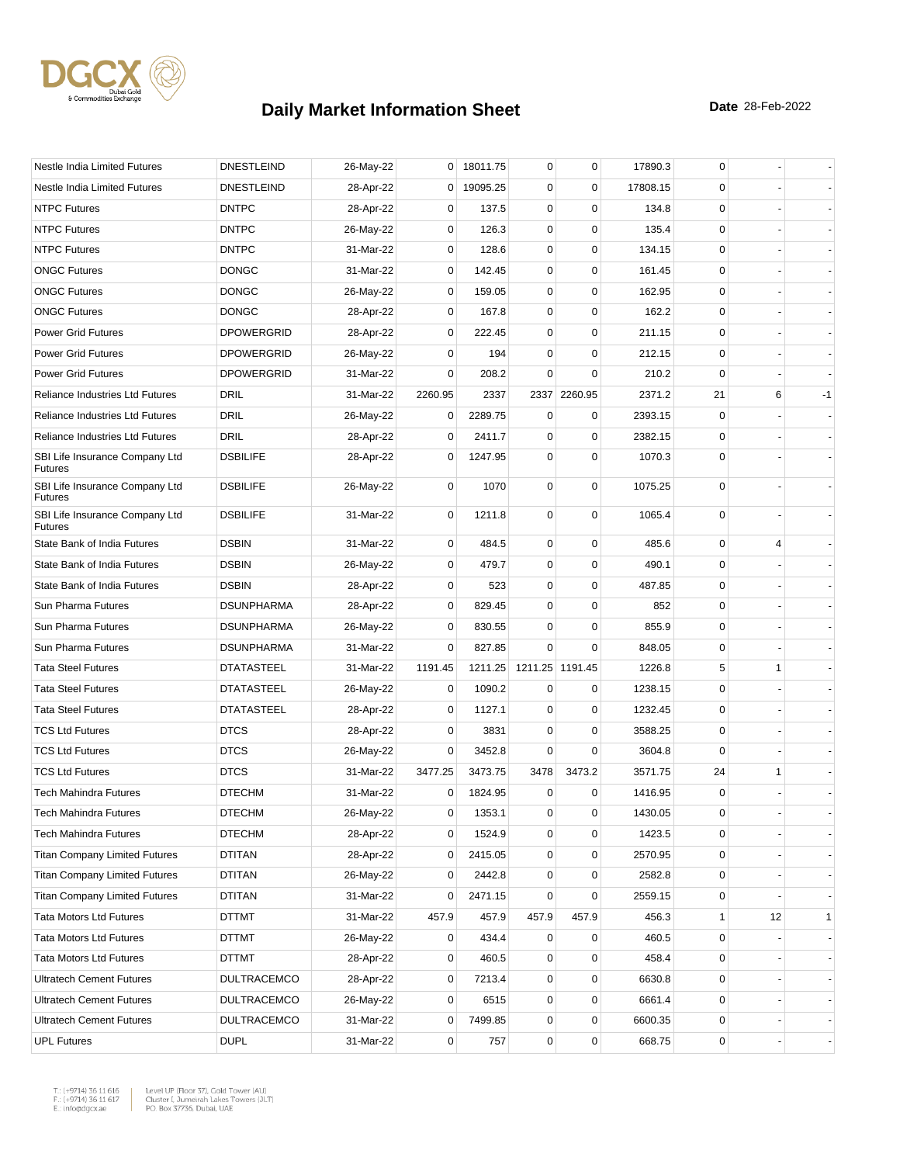

| Nestle India Limited Futures                     | <b>DNESTLEIND</b>  | 26-May-22 |                | 0 18011.75 | 0           | 0               | 17890.3  | 0            |    |              |
|--------------------------------------------------|--------------------|-----------|----------------|------------|-------------|-----------------|----------|--------------|----|--------------|
| Nestle India Limited Futures                     | <b>DNESTLEIND</b>  | 28-Apr-22 | $\overline{0}$ | 19095.25   | 0           | $\mathbf 0$     | 17808.15 | 0            |    |              |
| <b>NTPC Futures</b>                              | <b>DNTPC</b>       | 28-Apr-22 | 0              | 137.5      | 0           | $\mathbf 0$     | 134.8    | 0            |    |              |
| <b>NTPC Futures</b>                              | <b>DNTPC</b>       | 26-May-22 | 0              | 126.3      | 0           | $\mathbf 0$     | 135.4    | $\mathbf 0$  |    |              |
| <b>NTPC Futures</b>                              | <b>DNTPC</b>       | 31-Mar-22 | 0              | 128.6      | 0           | $\mathbf 0$     | 134.15   | $\mathbf 0$  |    |              |
| <b>ONGC Futures</b>                              | <b>DONGC</b>       | 31-Mar-22 | 0              | 142.45     | 0           | $\mathbf 0$     | 161.45   | 0            |    |              |
| <b>ONGC Futures</b>                              | <b>DONGC</b>       | 26-May-22 | 0              | 159.05     | 0           | $\mathbf 0$     | 162.95   | 0            |    |              |
| <b>ONGC Futures</b>                              | <b>DONGC</b>       | 28-Apr-22 | 0              | 167.8      | 0           | $\mathbf 0$     | 162.2    | $\mathbf 0$  |    |              |
| <b>Power Grid Futures</b>                        | <b>DPOWERGRID</b>  | 28-Apr-22 | 0              | 222.45     | 0           | $\mathbf 0$     | 211.15   | 0            |    |              |
| <b>Power Grid Futures</b>                        | <b>DPOWERGRID</b>  | 26-May-22 | 0              | 194        | $\mathbf 0$ | $\mathbf 0$     | 212.15   | $\mathbf 0$  |    |              |
| <b>Power Grid Futures</b>                        | <b>DPOWERGRID</b>  | 31-Mar-22 | 0              | 208.2      | 0           | $\mathbf 0$     | 210.2    | 0            |    |              |
| <b>Reliance Industries Ltd Futures</b>           | DRIL               | 31-Mar-22 | 2260.95        | 2337       |             | 2337 2260.95    | 2371.2   | 21           | 6  | $-1$         |
| <b>Reliance Industries Ltd Futures</b>           | <b>DRIL</b>        | 26-May-22 | 0              | 2289.75    | 0           | 0               | 2393.15  | 0            |    |              |
| <b>Reliance Industries Ltd Futures</b>           | <b>DRIL</b>        | 28-Apr-22 | 0              | 2411.7     | 0           | $\mathbf 0$     | 2382.15  | 0            |    |              |
| SBI Life Insurance Company Ltd<br><b>Futures</b> | <b>DSBILIFE</b>    | 28-Apr-22 | 0              | 1247.95    | 0           | $\mathbf 0$     | 1070.3   | $\mathbf 0$  |    |              |
| SBI Life Insurance Company Ltd<br><b>Futures</b> | <b>DSBILIFE</b>    | 26-May-22 | 0              | 1070       | 0           | $\mathbf 0$     | 1075.25  | $\mathbf 0$  |    |              |
| SBI Life Insurance Company Ltd<br><b>Futures</b> | <b>DSBILIFE</b>    | 31-Mar-22 | 0              | 1211.8     | 0           | $\mathbf 0$     | 1065.4   | $\mathbf 0$  |    |              |
| State Bank of India Futures                      | <b>DSBIN</b>       | 31-Mar-22 | 0              | 484.5      | 0           | 0               | 485.6    | 0            | 4  |              |
| State Bank of India Futures                      | <b>DSBIN</b>       | 26-May-22 | 0              | 479.7      | 0           | $\mathbf 0$     | 490.1    | $\mathbf 0$  |    |              |
| State Bank of India Futures                      | <b>DSBIN</b>       | 28-Apr-22 | 0              | 523        | 0           | $\mathbf 0$     | 487.85   | 0            |    |              |
| Sun Pharma Futures                               | <b>DSUNPHARMA</b>  | 28-Apr-22 | 0              | 829.45     | $\mathbf 0$ | $\mathbf 0$     | 852      | $\mathbf 0$  |    |              |
| Sun Pharma Futures                               | <b>DSUNPHARMA</b>  | 26-May-22 | 0              | 830.55     | 0           | 0               | 855.9    | 0            |    |              |
| Sun Pharma Futures                               | <b>DSUNPHARMA</b>  | 31-Mar-22 | 0              | 827.85     | $\Omega$    | $\mathbf 0$     | 848.05   | 0            |    |              |
| <b>Tata Steel Futures</b>                        | <b>DTATASTEEL</b>  | 31-Mar-22 | 1191.45        | 1211.25    |             | 1211.25 1191.45 | 1226.8   | 5            | 1  |              |
| <b>Tata Steel Futures</b>                        | <b>DTATASTEEL</b>  | 26-May-22 | 0              | 1090.2     | 0           | 0               | 1238.15  | 0            |    |              |
| <b>Tata Steel Futures</b>                        | <b>DTATASTEEL</b>  | 28-Apr-22 | $\mathbf 0$    | 1127.1     | $\mathbf 0$ | $\mathbf 0$     | 1232.45  | 0            |    |              |
| <b>TCS Ltd Futures</b>                           | <b>DTCS</b>        | 28-Apr-22 | 0              | 3831       | $\mathbf 0$ | $\mathbf 0$     | 3588.25  | $\mathbf 0$  |    |              |
| <b>TCS Ltd Futures</b>                           | <b>DTCS</b>        | 26-May-22 | 0              | 3452.8     | 0           | 0               | 3604.8   | 0            |    |              |
| <b>TCS Ltd Futures</b>                           | <b>DTCS</b>        | 31-Mar-22 | 3477.25        | 3473.75    | 3478        | 3473.2          | 3571.75  | 24           | 1  |              |
| <b>Tech Mahindra Futures</b>                     | <b>DTECHM</b>      | 31-Mar-22 | 0              | 1824.95    | 0           | 0               | 1416.95  | $\mathbf 0$  |    |              |
| Tech Mahindra Futures                            | <b>DTECHM</b>      | 26-May-22 | 0              | 1353.1     | 0           | 0               | 1430.05  | $\Omega$     |    |              |
| <b>Tech Mahindra Futures</b>                     | <b>DTECHM</b>      | 28-Apr-22 | 0              | 1524.9     | 0           | $\mathbf 0$     | 1423.5   | 0            |    |              |
| <b>Titan Company Limited Futures</b>             | DTITAN             | 28-Apr-22 | 0              | 2415.05    | 0           | $\pmb{0}$       | 2570.95  | 0            |    |              |
| <b>Titan Company Limited Futures</b>             | <b>DTITAN</b>      | 26-May-22 | 0              | 2442.8     | 0           | 0               | 2582.8   | 0            |    |              |
| <b>Titan Company Limited Futures</b>             | DTITAN             | 31-Mar-22 | 0              | 2471.15    | 0           | $\mathbf 0$     | 2559.15  | 0            |    |              |
| <b>Tata Motors Ltd Futures</b>                   | DTTMT              | 31-Mar-22 | 457.9          | 457.9      | 457.9       | 457.9           | 456.3    | $\mathbf{1}$ | 12 | $\mathbf{1}$ |
| <b>Tata Motors Ltd Futures</b>                   | <b>DTTMT</b>       | 26-May-22 | 0              | 434.4      | 0           | 0               | 460.5    | 0            |    |              |
| <b>Tata Motors Ltd Futures</b>                   | DTTMT              | 28-Apr-22 | 0              | 460.5      | 0           | 0               | 458.4    | 0            |    |              |
| <b>Ultratech Cement Futures</b>                  | <b>DULTRACEMCO</b> | 28-Apr-22 | 0              | 7213.4     | 0           | $\pmb{0}$       | 6630.8   | 0            |    |              |
| <b>Ultratech Cement Futures</b>                  | <b>DULTRACEMCO</b> | 26-May-22 | 0              | 6515       | 0           | $\mathbf 0$     | 6661.4   | 0            |    |              |
| <b>Ultratech Cement Futures</b>                  | <b>DULTRACEMCO</b> | 31-Mar-22 | $\overline{0}$ | 7499.85    | 0           | $\pmb{0}$       | 6600.35  | 0            |    |              |
| <b>UPL Futures</b>                               | <b>DUPL</b>        | 31-Mar-22 | 0              | 757        | 0           | $\pmb{0}$       | 668.75   | 0            |    |              |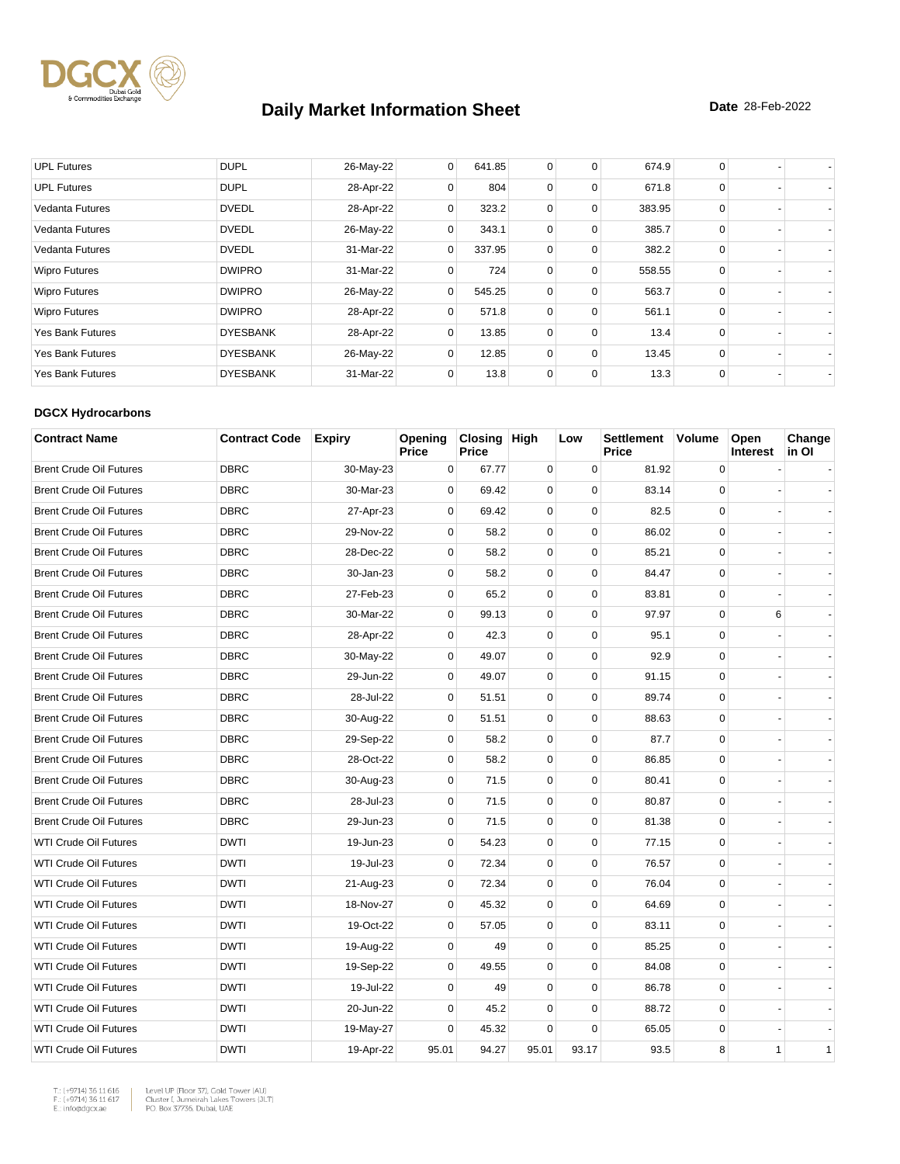

| <b>UPL Futures</b>      | <b>DUPL</b>     | 26-May-22 | $\overline{0}$ | 641.85 | 0           | 0           | 674.9  | 0           |  |
|-------------------------|-----------------|-----------|----------------|--------|-------------|-------------|--------|-------------|--|
| <b>UPL Futures</b>      | <b>DUPL</b>     | 28-Apr-22 | 0              | 804    | 0           | 0           | 671.8  | $\Omega$    |  |
| <b>Vedanta Futures</b>  | <b>DVEDL</b>    | 28-Apr-22 | 0              | 323.2  | $\mathbf 0$ | $\mathbf 0$ | 383.95 | $\Omega$    |  |
| <b>Vedanta Futures</b>  | <b>DVEDL</b>    | 26-May-22 | 0              | 343.1  | $\mathbf 0$ | 0           | 385.7  | $\Omega$    |  |
| <b>Vedanta Futures</b>  | <b>DVEDL</b>    | 31-Mar-22 | $\mathbf{0}$   | 337.95 | $\mathbf 0$ | $\Omega$    | 382.2  | $\Omega$    |  |
| <b>Wipro Futures</b>    | <b>DWIPRO</b>   | 31-Mar-22 | 0              | 724    | 0           | $\mathbf 0$ | 558.55 | $\mathbf 0$ |  |
| <b>Wipro Futures</b>    | <b>DWIPRO</b>   | 26-May-22 | $\mathbf{0}$   | 545.25 | $\mathbf 0$ | 0           | 563.7  | $\Omega$    |  |
| <b>Wipro Futures</b>    | <b>DWIPRO</b>   | 28-Apr-22 | 0              | 571.8  | $\mathbf 0$ | $\mathbf 0$ | 561.1  | $\Omega$    |  |
| <b>Yes Bank Futures</b> | <b>DYESBANK</b> | 28-Apr-22 | $\Omega$       | 13.85  | $\mathbf 0$ | $\Omega$    | 13.4   | $\Omega$    |  |
| <b>Yes Bank Futures</b> | <b>DYESBANK</b> | 26-May-22 | 0              | 12.85  | 0           | $\mathbf 0$ | 13.45  | 0           |  |
| <b>Yes Bank Futures</b> | <b>DYESBANK</b> | 31-Mar-22 | 0              | 13.8   | $\mathbf 0$ | 0           | 13.3   | 0           |  |

#### **DGCX Hydrocarbons**

| <b>Contract Name</b>           | <b>Contract Code</b> | <b>Expiry</b> | Opening<br><b>Price</b> | Closing High<br><b>Price</b> |             | Low         | <b>Settlement</b><br><b>Price</b> | <b>Volume</b> | Open<br><b>Interest</b> | Change<br>in Ol |
|--------------------------------|----------------------|---------------|-------------------------|------------------------------|-------------|-------------|-----------------------------------|---------------|-------------------------|-----------------|
| <b>Brent Crude Oil Futures</b> | <b>DBRC</b>          | 30-May-23     | 0                       | 67.77                        | 0           | 0           | 81.92                             | 0             |                         |                 |
| <b>Brent Crude Oil Futures</b> | <b>DBRC</b>          | 30-Mar-23     | $\Omega$                | 69.42                        | $\Omega$    | $\Omega$    | 83.14                             | $\Omega$      |                         |                 |
| <b>Brent Crude Oil Futures</b> | <b>DBRC</b>          | 27-Apr-23     | 0                       | 69.42                        | $\mathbf 0$ | $\mathbf 0$ | 82.5                              | $\mathbf 0$   |                         |                 |
| <b>Brent Crude Oil Futures</b> | <b>DBRC</b>          | 29-Nov-22     | 0                       | 58.2                         | $\mathbf 0$ | $\mathbf 0$ | 86.02                             | 0             |                         |                 |
| <b>Brent Crude Oil Futures</b> | <b>DBRC</b>          | 28-Dec-22     | $\mathbf 0$             | 58.2                         | $\mathbf 0$ | $\Omega$    | 85.21                             | $\mathbf 0$   |                         |                 |
| <b>Brent Crude Oil Futures</b> | <b>DBRC</b>          | 30-Jan-23     | $\mathbf 0$             | 58.2                         | 0           | $\mathbf 0$ | 84.47                             | 0             |                         |                 |
| <b>Brent Crude Oil Futures</b> | <b>DBRC</b>          | 27-Feb-23     | 0                       | 65.2                         | $\mathbf 0$ | $\mathbf 0$ | 83.81                             | 0             |                         |                 |
| <b>Brent Crude Oil Futures</b> | <b>DBRC</b>          | 30-Mar-22     | 0                       | 99.13                        | 0           | $\mathbf 0$ | 97.97                             | 0             | 6                       |                 |
| <b>Brent Crude Oil Futures</b> | <b>DBRC</b>          | 28-Apr-22     | 0                       | 42.3                         | $\mathbf 0$ | $\mathbf 0$ | 95.1                              | $\mathbf 0$   |                         |                 |
| <b>Brent Crude Oil Futures</b> | <b>DBRC</b>          | 30-May-22     | 0                       | 49.07                        | $\mathbf 0$ | $\Omega$    | 92.9                              | $\mathbf 0$   |                         |                 |
| <b>Brent Crude Oil Futures</b> | <b>DBRC</b>          | 29-Jun-22     | 0                       | 49.07                        | 0           | $\mathbf 0$ | 91.15                             | 0             |                         |                 |
| <b>Brent Crude Oil Futures</b> | <b>DBRC</b>          | 28-Jul-22     | 0                       | 51.51                        | $\mathbf 0$ | $\mathbf 0$ | 89.74                             | $\mathbf 0$   |                         |                 |
| <b>Brent Crude Oil Futures</b> | <b>DBRC</b>          | 30-Aug-22     | 0                       | 51.51                        | $\mathbf 0$ | $\mathbf 0$ | 88.63                             | $\mathbf 0$   |                         |                 |
| <b>Brent Crude Oil Futures</b> | <b>DBRC</b>          | 29-Sep-22     | $\mathbf 0$             | 58.2                         | 0           | $\mathbf 0$ | 87.7                              | $\mathbf 0$   |                         |                 |
| <b>Brent Crude Oil Futures</b> | <b>DBRC</b>          | 28-Oct-22     | $\mathbf 0$             | 58.2                         | $\mathbf 0$ | $\mathbf 0$ | 86.85                             | $\mathbf 0$   |                         |                 |
| <b>Brent Crude Oil Futures</b> | <b>DBRC</b>          | 30-Aug-23     | $\mathbf 0$             | 71.5                         | $\mathbf 0$ | $\Omega$    | 80.41                             | $\mathbf 0$   |                         |                 |
| <b>Brent Crude Oil Futures</b> | <b>DBRC</b>          | 28-Jul-23     | $\mathbf 0$             | 71.5                         | 0           | $\mathbf 0$ | 80.87                             | 0             |                         |                 |
| <b>Brent Crude Oil Futures</b> | <b>DBRC</b>          | 29-Jun-23     | 0                       | 71.5                         | 0           | $\mathbf 0$ | 81.38                             | $\mathbf 0$   |                         |                 |
| <b>WTI Crude Oil Futures</b>   | <b>DWTI</b>          | 19-Jun-23     | 0                       | 54.23                        | $\mathbf 0$ | $\mathbf 0$ | 77.15                             | $\mathbf 0$   |                         |                 |
| <b>WTI Crude Oil Futures</b>   | <b>DWTI</b>          | 19-Jul-23     | 0                       | 72.34                        | $\mathbf 0$ | $\mathbf 0$ | 76.57                             | $\mathbf 0$   |                         |                 |
| <b>WTI Crude Oil Futures</b>   | <b>DWTI</b>          | 21-Aug-23     | 0                       | 72.34                        | $\mathbf 0$ | $\Omega$    | 76.04                             | $\mathbf 0$   |                         |                 |
| WTI Crude Oil Futures          | <b>DWTI</b>          | 18-Nov-27     | 0                       | 45.32                        | $\mathbf 0$ | $\pmb{0}$   | 64.69                             | 0             |                         |                 |
| <b>WTI Crude Oil Futures</b>   | <b>DWTI</b>          | 19-Oct-22     | 0                       | 57.05                        | 0           | $\mathbf 0$ | 83.11                             | $\mathbf 0$   |                         |                 |
| <b>WTI Crude Oil Futures</b>   | <b>DWTI</b>          | 19-Aug-22     | $\mathbf 0$             | 49                           | $\mathbf 0$ | $\mathbf 0$ | 85.25                             | $\mathbf 0$   |                         |                 |
| <b>WTI Crude Oil Futures</b>   | <b>DWTI</b>          | 19-Sep-22     | $\mathbf 0$             | 49.55                        | $\mathbf 0$ | $\mathbf 0$ | 84.08                             | $\mathbf 0$   |                         |                 |
| <b>WTI Crude Oil Futures</b>   | <b>DWTI</b>          | 19-Jul-22     | $\mathbf 0$             | 49                           | $\mathbf 0$ | $\mathbf 0$ | 86.78                             | $\mathbf 0$   |                         |                 |
| <b>WTI Crude Oil Futures</b>   | <b>DWTI</b>          | 20-Jun-22     | 0                       | 45.2                         | $\mathbf 0$ | $\mathbf 0$ | 88.72                             | $\mathbf 0$   |                         |                 |
| <b>WTI Crude Oil Futures</b>   | <b>DWTI</b>          | 19-May-27     | 0                       | 45.32                        | $\mathbf 0$ | $\mathbf 0$ | 65.05                             | 0             |                         |                 |
| <b>WTI Crude Oil Futures</b>   | <b>DWTI</b>          | 19-Apr-22     | 95.01                   | 94.27                        | 95.01       | 93.17       | 93.5                              | 8             | 1                       | $\mathbf{1}$    |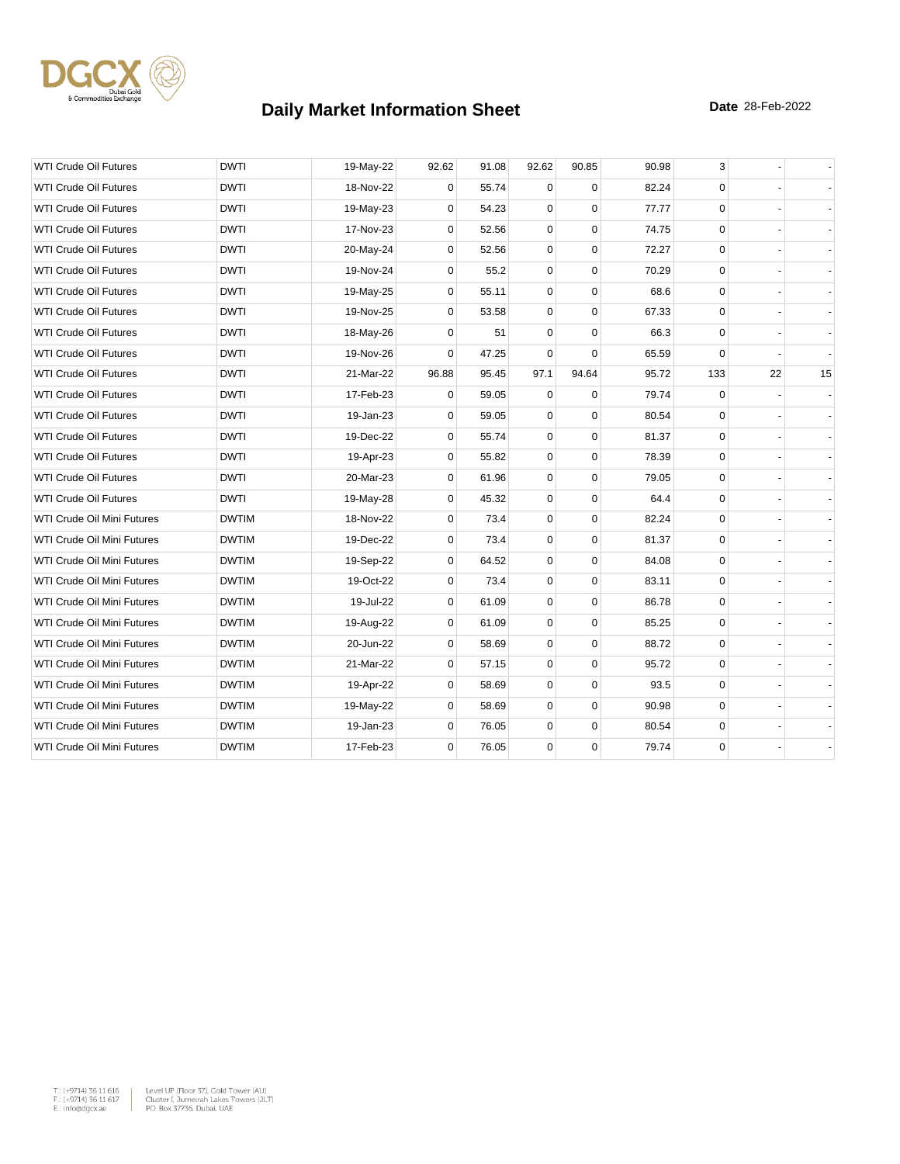

| <b>WTI Crude Oil Futures</b>      | <b>DWTI</b>  | 19-May-22 | 92.62       | 91.08 | 92.62       | 90.85       | 90.98 | 3           |    |    |
|-----------------------------------|--------------|-----------|-------------|-------|-------------|-------------|-------|-------------|----|----|
| <b>WTI Crude Oil Futures</b>      | <b>DWTI</b>  | 18-Nov-22 | 0           | 55.74 | $\Omega$    | $\Omega$    | 82.24 | $\mathbf 0$ |    |    |
| <b>WTI Crude Oil Futures</b>      | <b>DWTI</b>  | 19-May-23 | 0           | 54.23 | 0           | $\Omega$    | 77.77 | $\mathbf 0$ |    |    |
| <b>WTI Crude Oil Futures</b>      | <b>DWTI</b>  | 17-Nov-23 | 0           | 52.56 | 0           | $\mathbf 0$ | 74.75 | 0           |    |    |
| <b>WTI Crude Oil Futures</b>      | <b>DWTI</b>  | 20-May-24 | 0           | 52.56 | 0           | $\mathbf 0$ | 72.27 | $\mathbf 0$ |    |    |
| <b>WTI Crude Oil Futures</b>      | DWTI         | 19-Nov-24 | 0           | 55.2  | $\mathbf 0$ | $\mathbf 0$ | 70.29 | 0           |    |    |
| <b>WTI Crude Oil Futures</b>      | <b>DWTI</b>  | 19-May-25 | 0           | 55.11 | $\mathbf 0$ | $\Omega$    | 68.6  | $\mathbf 0$ |    |    |
| <b>WTI Crude Oil Futures</b>      | <b>DWTI</b>  | 19-Nov-25 | 0           | 53.58 | $\mathbf 0$ | $\mathbf 0$ | 67.33 | 0           |    |    |
| <b>WTI Crude Oil Futures</b>      | <b>DWTI</b>  | 18-May-26 | 0           | 51    | 0           | $\Omega$    | 66.3  | $\mathbf 0$ |    |    |
| <b>WTI Crude Oil Futures</b>      | <b>DWTI</b>  | 19-Nov-26 | $\Omega$    | 47.25 | $\mathbf 0$ | $\Omega$    | 65.59 | 0           |    |    |
| <b>WTI Crude Oil Futures</b>      | <b>DWTI</b>  | 21-Mar-22 | 96.88       | 95.45 | 97.1        | 94.64       | 95.72 | 133         | 22 | 15 |
| <b>WTI Crude Oil Futures</b>      | <b>DWTI</b>  | 17-Feb-23 | 0           | 59.05 | $\mathbf 0$ | $\Omega$    | 79.74 | $\mathbf 0$ |    |    |
| <b>WTI Crude Oil Futures</b>      | <b>DWTI</b>  | 19-Jan-23 | 0           | 59.05 | $\mathbf 0$ | $\mathbf 0$ | 80.54 | 0           |    |    |
| <b>WTI Crude Oil Futures</b>      | <b>DWTI</b>  | 19-Dec-22 | 0           | 55.74 | 0           | $\Omega$    | 81.37 | $\mathbf 0$ |    |    |
| <b>WTI Crude Oil Futures</b>      | <b>DWTI</b>  | 19-Apr-23 | 0           | 55.82 | 0           | $\mathbf 0$ | 78.39 | $\mathbf 0$ |    |    |
| <b>WTI Crude Oil Futures</b>      | <b>DWTI</b>  | 20-Mar-23 | 0           | 61.96 | 0           | $\mathbf 0$ | 79.05 | $\mathbf 0$ |    |    |
| <b>WTI Crude Oil Futures</b>      | <b>DWTI</b>  | 19-May-28 | 0           | 45.32 | 0           | $\mathbf 0$ | 64.4  | $\mathbf 0$ |    |    |
| WTI Crude Oil Mini Futures        | <b>DWTIM</b> | 18-Nov-22 | 0           | 73.4  | $\mathbf 0$ | $\mathbf 0$ | 82.24 | $\mathbf 0$ |    |    |
| WTI Crude Oil Mini Futures        | <b>DWTIM</b> | 19-Dec-22 | 0           | 73.4  | $\mathbf 0$ | $\Omega$    | 81.37 | $\mathbf 0$ |    |    |
| <b>WTI Crude Oil Mini Futures</b> | <b>DWTIM</b> | 19-Sep-22 | 0           | 64.52 | $\pmb{0}$   | $\mathbf 0$ | 84.08 | $\mathbf 0$ |    |    |
| WTI Crude Oil Mini Futures        | <b>DWTIM</b> | 19-Oct-22 | 0           | 73.4  | 0           | $\mathbf 0$ | 83.11 | 0           |    |    |
| WTI Crude Oil Mini Futures        | <b>DWTIM</b> | 19-Jul-22 | 0           | 61.09 | 0           | $\mathbf 0$ | 86.78 | $\mathbf 0$ |    |    |
| WTI Crude Oil Mini Futures        | <b>DWTIM</b> | 19-Aug-22 | $\mathbf 0$ | 61.09 | $\mathbf 0$ | $\mathbf 0$ | 85.25 | $\mathbf 0$ |    |    |
| <b>WTI Crude Oil Mini Futures</b> | <b>DWTIM</b> | 20-Jun-22 | 0           | 58.69 | $\mathbf 0$ | $\Omega$    | 88.72 | $\mathbf 0$ |    |    |
| WTI Crude Oil Mini Futures        | <b>DWTIM</b> | 21-Mar-22 | 0           | 57.15 | 0           | $\mathbf 0$ | 95.72 | 0           |    |    |
| WTI Crude Oil Mini Futures        | <b>DWTIM</b> | 19-Apr-22 | 0           | 58.69 | 0           | $\mathbf 0$ | 93.5  | 0           |    |    |
| WTI Crude Oil Mini Futures        | <b>DWTIM</b> | 19-May-22 | 0           | 58.69 | 0           | $\mathbf 0$ | 90.98 | $\mathbf 0$ |    |    |
| WTI Crude Oil Mini Futures        | <b>DWTIM</b> | 19-Jan-23 | $\mathbf 0$ | 76.05 | 0           | $\mathbf 0$ | 80.54 | 0           |    |    |
| WTI Crude Oil Mini Futures        | <b>DWTIM</b> | 17-Feb-23 | $\mathbf 0$ | 76.05 | 0           | $\mathbf 0$ | 79.74 | $\mathbf 0$ |    |    |

 $\begin{tabular}{|l|l|l|l|} \hline $\mathsf{T}_\circ$ & $\mathsf{+9714}3$ & $\mathsf{5}\mathsf{11}$ & $\mathsf{6}1\mathsf{6}$ & \multicolumn{2}{|l|}{{\mathsf{Level}}} & $\mathsf{Up}$ & $\mathsf{F}|\mathsf{Oor}}$ & $\mathsf{37}\mathsf{,}\mathsf{Oold}$ & $\mathsf{Toover}\mathsf{ (AU)}$ \\ $\mathsf{F}_\circ$ & $\mathsf{+9714}3$ & $\mathsf{5}\mathsf{11}$ & $\mathsf{617}$ & \multicolumn{2}{|l|}{{\mathsf{Clueuler}}} & $\mathsf{Cluster}~\math$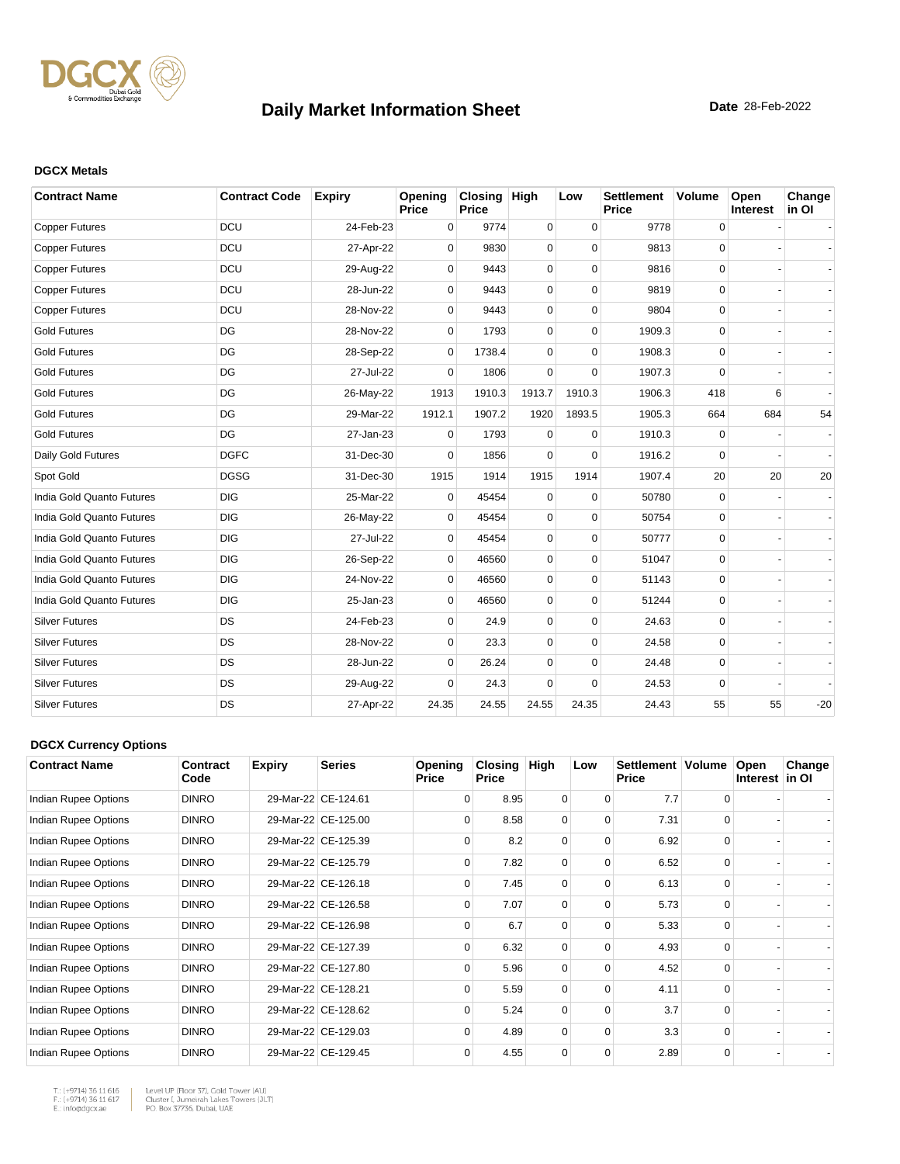

#### **DGCX Metals**

| <b>Contract Name</b>      | <b>Contract Code</b> | <b>Expiry</b> | Opening<br>Price | Closing High<br>Price |             | Low         | <b>Settlement</b><br>Price | <b>Volume</b> | Open<br>Interest | Change<br>in OI |
|---------------------------|----------------------|---------------|------------------|-----------------------|-------------|-------------|----------------------------|---------------|------------------|-----------------|
| <b>Copper Futures</b>     | <b>DCU</b>           | 24-Feb-23     | 0                | 9774                  | 0           | $\mathbf 0$ | 9778                       | 0             |                  |                 |
| <b>Copper Futures</b>     | <b>DCU</b>           | 27-Apr-22     | $\Omega$         | 9830                  | 0           | $\Omega$    | 9813                       | $\mathbf 0$   |                  |                 |
| <b>Copper Futures</b>     | <b>DCU</b>           | 29-Aug-22     | 0                | 9443                  | 0           | $\Omega$    | 9816                       | 0             |                  |                 |
| <b>Copper Futures</b>     | <b>DCU</b>           | 28-Jun-22     | 0                | 9443                  | 0           | $\mathbf 0$ | 9819                       | $\mathbf 0$   |                  |                 |
| <b>Copper Futures</b>     | DCU                  | 28-Nov-22     | $\Omega$         | 9443                  | 0           | $\Omega$    | 9804                       | 0             |                  |                 |
| <b>Gold Futures</b>       | DG                   | 28-Nov-22     | $\Omega$         | 1793                  | 0           | $\Omega$    | 1909.3                     | 0             |                  |                 |
| <b>Gold Futures</b>       | DG                   | 28-Sep-22     | $\mathbf 0$      | 1738.4                | 0           | $\Omega$    | 1908.3                     | 0             |                  |                 |
| <b>Gold Futures</b>       | DG                   | 27-Jul-22     | $\Omega$         | 1806                  | 0           | $\mathbf 0$ | 1907.3                     | 0             |                  |                 |
| <b>Gold Futures</b>       | DG                   | 26-May-22     | 1913             | 1910.3                | 1913.7      | 1910.3      | 1906.3                     | 418           | 6                |                 |
| <b>Gold Futures</b>       | DG                   | 29-Mar-22     | 1912.1           | 1907.2                | 1920        | 1893.5      | 1905.3                     | 664           | 684              | 54              |
| <b>Gold Futures</b>       | DG                   | 27-Jan-23     | 0                | 1793                  | 0           | $\Omega$    | 1910.3                     | 0             |                  |                 |
| Daily Gold Futures        | <b>DGFC</b>          | 31-Dec-30     | $\Omega$         | 1856                  | 0           | $\Omega$    | 1916.2                     | 0             |                  |                 |
| Spot Gold                 | <b>DGSG</b>          | 31-Dec-30     | 1915             | 1914                  | 1915        | 1914        | 1907.4                     | 20            | 20               | 20              |
| India Gold Quanto Futures | <b>DIG</b>           | 25-Mar-22     | $\Omega$         | 45454                 | $\mathbf 0$ | $\Omega$    | 50780                      | 0             |                  |                 |
| India Gold Quanto Futures | <b>DIG</b>           | 26-May-22     | $\Omega$         | 45454                 | 0           | $\Omega$    | 50754                      | $\mathbf 0$   |                  |                 |
| India Gold Quanto Futures | <b>DIG</b>           | 27-Jul-22     | $\Omega$         | 45454                 | 0           | $\Omega$    | 50777                      | $\mathbf 0$   |                  |                 |
| India Gold Quanto Futures | <b>DIG</b>           | 26-Sep-22     | 0                | 46560                 | 0           | $\mathbf 0$ | 51047                      | $\mathbf 0$   |                  |                 |
| India Gold Quanto Futures | <b>DIG</b>           | 24-Nov-22     | 0                | 46560                 | 0           | $\mathbf 0$ | 51143                      | 0             |                  |                 |
| India Gold Quanto Futures | <b>DIG</b>           | 25-Jan-23     | $\Omega$         | 46560                 | 0           | $\Omega$    | 51244                      | $\Omega$      |                  |                 |
| <b>Silver Futures</b>     | <b>DS</b>            | 24-Feb-23     | $\Omega$         | 24.9                  | 0           | $\Omega$    | 24.63                      | $\mathbf 0$   |                  |                 |
| <b>Silver Futures</b>     | DS                   | 28-Nov-22     | 0                | 23.3                  | 0           | $\mathbf 0$ | 24.58                      | 0             |                  |                 |
| <b>Silver Futures</b>     | DS                   | 28-Jun-22     | $\Omega$         | 26.24                 | 0           | $\mathbf 0$ | 24.48                      | $\mathbf 0$   |                  |                 |
| <b>Silver Futures</b>     | <b>DS</b>            | 29-Aug-22     | $\Omega$         | 24.3                  | $\Omega$    | $\Omega$    | 24.53                      | $\mathbf 0$   |                  |                 |
| <b>Silver Futures</b>     | DS                   | 27-Apr-22     | 24.35            | 24.55                 | 24.55       | 24.35       | 24.43                      | 55            | 55               | $-20$           |

#### **DGCX Currency Options**

| <b>Contract Name</b> | Contract<br>Code | <b>Expiry</b> | <b>Series</b>       | Opening<br><b>Price</b> | Closing<br><b>Price</b> | High     | Low      | Settlement   Volume<br><b>Price</b> |          | Open<br>Interest in OI | Change |
|----------------------|------------------|---------------|---------------------|-------------------------|-------------------------|----------|----------|-------------------------------------|----------|------------------------|--------|
| Indian Rupee Options | <b>DINRO</b>     |               | 29-Mar-22 CE-124.61 | $\Omega$                | 8.95                    | 0        | $\Omega$ | 7.7                                 | $\Omega$ |                        |        |
| Indian Rupee Options | <b>DINRO</b>     |               | 29-Mar-22 CE-125.00 | $\Omega$                | 8.58                    | $\Omega$ | $\Omega$ | 7.31                                | $\Omega$ |                        |        |
| Indian Rupee Options | <b>DINRO</b>     |               | 29-Mar-22 CE-125.39 | $\Omega$                | 8.2                     | 0        | $\Omega$ | 6.92                                |          |                        |        |
| Indian Rupee Options | <b>DINRO</b>     |               | 29-Mar-22 CE-125.79 | $\Omega$                | 7.82                    | $\Omega$ | $\Omega$ | 6.52                                | $\Omega$ |                        |        |
| Indian Rupee Options | <b>DINRO</b>     |               | 29-Mar-22 CE-126.18 | $\Omega$                | 7.45                    | 0        | $\Omega$ | 6.13                                | $\Omega$ |                        |        |
| Indian Rupee Options | <b>DINRO</b>     |               | 29-Mar-22 CE-126.58 | $\Omega$                | 7.07                    | $\Omega$ | $\Omega$ | 5.73                                | $\Omega$ |                        |        |
| Indian Rupee Options | <b>DINRO</b>     |               | 29-Mar-22 CE-126.98 | $\Omega$                | 6.7                     | 0        | 0        | 5.33                                | $\Omega$ |                        |        |
| Indian Rupee Options | <b>DINRO</b>     |               | 29-Mar-22 CE-127.39 | $\Omega$                | 6.32                    | $\Omega$ | $\Omega$ | 4.93                                | $\Omega$ |                        |        |
| Indian Rupee Options | <b>DINRO</b>     |               | 29-Mar-22 CE-127.80 | $\Omega$                | 5.96                    | $\Omega$ | $\Omega$ | 4.52                                | $\Omega$ |                        |        |
| Indian Rupee Options | <b>DINRO</b>     |               | 29-Mar-22 CE-128.21 | $\Omega$                | 5.59                    | $\Omega$ | $\Omega$ | 4.11                                | $\Omega$ |                        |        |
| Indian Rupee Options | <b>DINRO</b>     |               | 29-Mar-22 CE-128.62 | $\Omega$                | 5.24                    | $\Omega$ | $\Omega$ | 3.7                                 | $\Omega$ |                        |        |
| Indian Rupee Options | <b>DINRO</b>     |               | 29-Mar-22 CE-129.03 | $\Omega$                | 4.89                    | $\Omega$ | $\Omega$ | 3.3                                 | $\Omega$ |                        |        |
| Indian Rupee Options | <b>DINRO</b>     |               | 29-Mar-22 CE-129.45 | $\Omega$                | 4.55                    | $\Omega$ | $\Omega$ | 2.89                                | $\Omega$ |                        |        |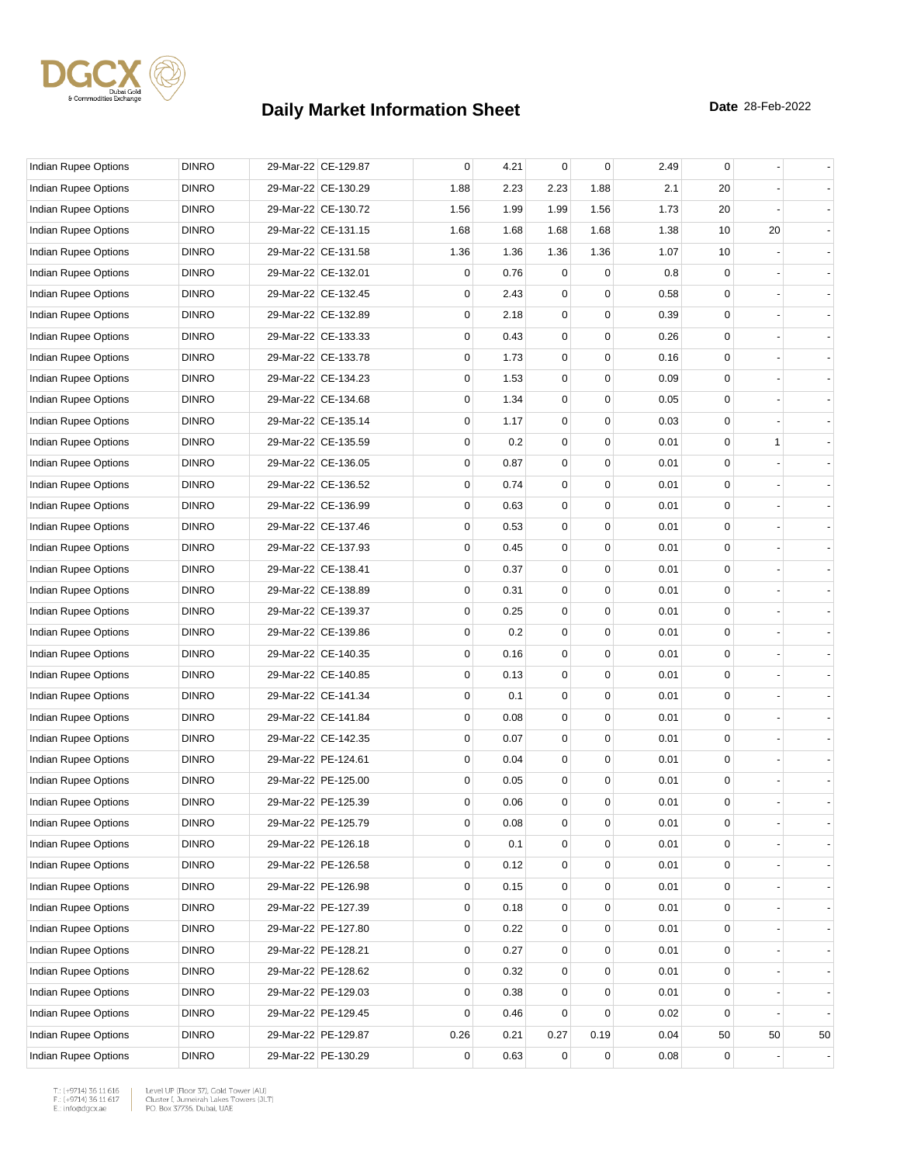

| Indian Rupee Options        | <b>DINRO</b> | 29-Mar-22 CE-129.87 | 0    | 4.21 | $\mathbf 0$ | 0           | 2.49 | 0  |              |                |
|-----------------------------|--------------|---------------------|------|------|-------------|-------------|------|----|--------------|----------------|
| Indian Rupee Options        | <b>DINRO</b> | 29-Mar-22 CE-130.29 | 1.88 | 2.23 | 2.23        | 1.88        | 2.1  | 20 |              |                |
| Indian Rupee Options        | <b>DINRO</b> | 29-Mar-22 CE-130.72 | 1.56 | 1.99 | 1.99        | 1.56        | 1.73 | 20 |              |                |
| Indian Rupee Options        | <b>DINRO</b> | 29-Mar-22 CE-131.15 | 1.68 | 1.68 | 1.68        | 1.68        | 1.38 | 10 | 20           |                |
| Indian Rupee Options        | <b>DINRO</b> | 29-Mar-22 CE-131.58 | 1.36 | 1.36 | 1.36        | 1.36        | 1.07 | 10 |              |                |
| Indian Rupee Options        | <b>DINRO</b> | 29-Mar-22 CE-132.01 | 0    | 0.76 | 0           | 0           | 0.8  | 0  |              |                |
| Indian Rupee Options        | <b>DINRO</b> | 29-Mar-22 CE-132.45 | 0    | 2.43 | 0           | 0           | 0.58 | 0  |              |                |
| Indian Rupee Options        | <b>DINRO</b> | 29-Mar-22 CE-132.89 | 0    | 2.18 | 0           | $\mathbf 0$ | 0.39 | 0  |              |                |
| Indian Rupee Options        | <b>DINRO</b> | 29-Mar-22 CE-133.33 | 0    | 0.43 | 0           | $\mathbf 0$ | 0.26 | 0  |              |                |
| Indian Rupee Options        | <b>DINRO</b> | 29-Mar-22 CE-133.78 | 0    | 1.73 | $\mathbf 0$ | 0           | 0.16 | 0  |              |                |
| Indian Rupee Options        | <b>DINRO</b> | 29-Mar-22 CE-134.23 | 0    | 1.53 | $\mathbf 0$ | $\mathbf 0$ | 0.09 | 0  |              |                |
| Indian Rupee Options        | <b>DINRO</b> | 29-Mar-22 CE-134.68 | 0    | 1.34 | 0           | 0           | 0.05 | 0  |              |                |
| Indian Rupee Options        | <b>DINRO</b> | 29-Mar-22 CE-135.14 | 0    | 1.17 | 0           | $\mathbf 0$ | 0.03 | 0  |              |                |
| Indian Rupee Options        | <b>DINRO</b> | 29-Mar-22 CE-135.59 | 0    | 0.2  | $\mathbf 0$ | $\mathbf 0$ | 0.01 | 0  | $\mathbf{1}$ |                |
| Indian Rupee Options        | <b>DINRO</b> | 29-Mar-22 CE-136.05 | 0    | 0.87 | $\mathbf 0$ | 0           | 0.01 | 0  |              |                |
| <b>Indian Rupee Options</b> | <b>DINRO</b> | 29-Mar-22 CE-136.52 | 0    | 0.74 | $\mathbf 0$ | $\mathbf 0$ | 0.01 | 0  |              |                |
| Indian Rupee Options        | <b>DINRO</b> | 29-Mar-22 CE-136.99 | 0    | 0.63 | $\mathbf 0$ | 0           | 0.01 | 0  |              |                |
| <b>Indian Rupee Options</b> | <b>DINRO</b> | 29-Mar-22 CE-137.46 | 0    | 0.53 | 0           | $\mathbf 0$ | 0.01 | 0  |              |                |
| Indian Rupee Options        | <b>DINRO</b> | 29-Mar-22 CE-137.93 | 0    | 0.45 | $\mathbf 0$ | $\mathbf 0$ | 0.01 | 0  |              |                |
| Indian Rupee Options        | <b>DINRO</b> | 29-Mar-22 CE-138.41 | 0    | 0.37 | $\mathbf 0$ | $\mathbf 0$ | 0.01 | 0  |              |                |
| Indian Rupee Options        | <b>DINRO</b> | 29-Mar-22 CE-138.89 | 0    | 0.31 | $\mathbf 0$ | $\mathbf 0$ | 0.01 | 0  |              |                |
| Indian Rupee Options        | <b>DINRO</b> | 29-Mar-22 CE-139.37 | 0    | 0.25 | $\mathbf 0$ | 0           | 0.01 | 0  |              |                |
| Indian Rupee Options        | <b>DINRO</b> | 29-Mar-22 CE-139.86 | 0    | 0.2  | 0           | $\mathbf 0$ | 0.01 | 0  |              |                |
| Indian Rupee Options        | <b>DINRO</b> | 29-Mar-22 CE-140.35 | 0    | 0.16 | $\mathbf 0$ | $\mathbf 0$ | 0.01 | 0  |              |                |
| Indian Rupee Options        | <b>DINRO</b> | 29-Mar-22 CE-140.85 | 0    | 0.13 | $\mathbf 0$ | 0           | 0.01 | 0  |              |                |
| Indian Rupee Options        | <b>DINRO</b> | 29-Mar-22 CE-141.34 | 0    | 0.1  | $\mathbf 0$ | $\mathbf 0$ | 0.01 | 0  |              |                |
| Indian Rupee Options        | <b>DINRO</b> | 29-Mar-22 CE-141.84 | 0    | 0.08 | $\mathbf 0$ | 0           | 0.01 | 0  |              |                |
| <b>Indian Rupee Options</b> | <b>DINRO</b> | 29-Mar-22 CE-142.35 | 0    | 0.07 | 0           | $\mathbf 0$ | 0.01 | 0  |              |                |
| Indian Rupee Options        | <b>DINRO</b> | 29-Mar-22 PE-124.61 | 0    | 0.04 | $\mathbf 0$ | $\mathbf 0$ | 0.01 | 0  |              |                |
| <b>Indian Rupee Options</b> | <b>DINRO</b> | 29-Mar-22 PE-125.00 | 0    | 0.05 | $\mathbf 0$ | 0           | 0.01 | 0  |              |                |
| Indian Rupee Options        | <b>DINRO</b> | 29-Mar-22 PE-125.39 | 0    | 0.06 | $\mathbf 0$ | $\mathbf 0$ | 0.01 | 0  |              |                |
| Indian Rupee Options        | <b>DINRO</b> | 29-Mar-22 PE-125.79 | 0    | 0.08 | $\pmb{0}$   | $\pmb{0}$   | 0.01 | 0  |              |                |
| Indian Rupee Options        | <b>DINRO</b> | 29-Mar-22 PE-126.18 | 0    | 0.1  | 0           | 0           | 0.01 | 0  |              |                |
| Indian Rupee Options        | <b>DINRO</b> | 29-Mar-22 PE-126.58 | 0    | 0.12 | $\pmb{0}$   | 0           | 0.01 | 0  |              |                |
| Indian Rupee Options        | <b>DINRO</b> | 29-Mar-22 PE-126.98 | 0    | 0.15 | 0           | 0           | 0.01 | 0  |              |                |
| Indian Rupee Options        | <b>DINRO</b> | 29-Mar-22 PE-127.39 | 0    | 0.18 | 0           | 0           | 0.01 | 0  |              | $\blacksquare$ |
| Indian Rupee Options        | <b>DINRO</b> | 29-Mar-22 PE-127.80 | 0    | 0.22 | $\mathbf 0$ | $\mathbf 0$ | 0.01 | 0  |              |                |
| Indian Rupee Options        | <b>DINRO</b> | 29-Mar-22 PE-128.21 | 0    | 0.27 | $\pmb{0}$   | 0           | 0.01 | 0  |              |                |
| Indian Rupee Options        | <b>DINRO</b> | 29-Mar-22 PE-128.62 | 0    | 0.32 | $\pmb{0}$   | 0           | 0.01 | 0  |              |                |
| Indian Rupee Options        | <b>DINRO</b> | 29-Mar-22 PE-129.03 | 0    | 0.38 | 0           | 0           | 0.01 | 0  |              |                |
| Indian Rupee Options        | <b>DINRO</b> | 29-Mar-22 PE-129.45 | 0    | 0.46 | 0           | $\mathbf 0$ | 0.02 | 0  |              | $\blacksquare$ |
| Indian Rupee Options        | <b>DINRO</b> | 29-Mar-22 PE-129.87 | 0.26 | 0.21 | 0.27        | 0.19        | 0.04 | 50 | 50           | 50             |
| Indian Rupee Options        | <b>DINRO</b> | 29-Mar-22 PE-130.29 | 0    | 0.63 | 0           | $\mathbf 0$ | 0.08 | 0  |              |                |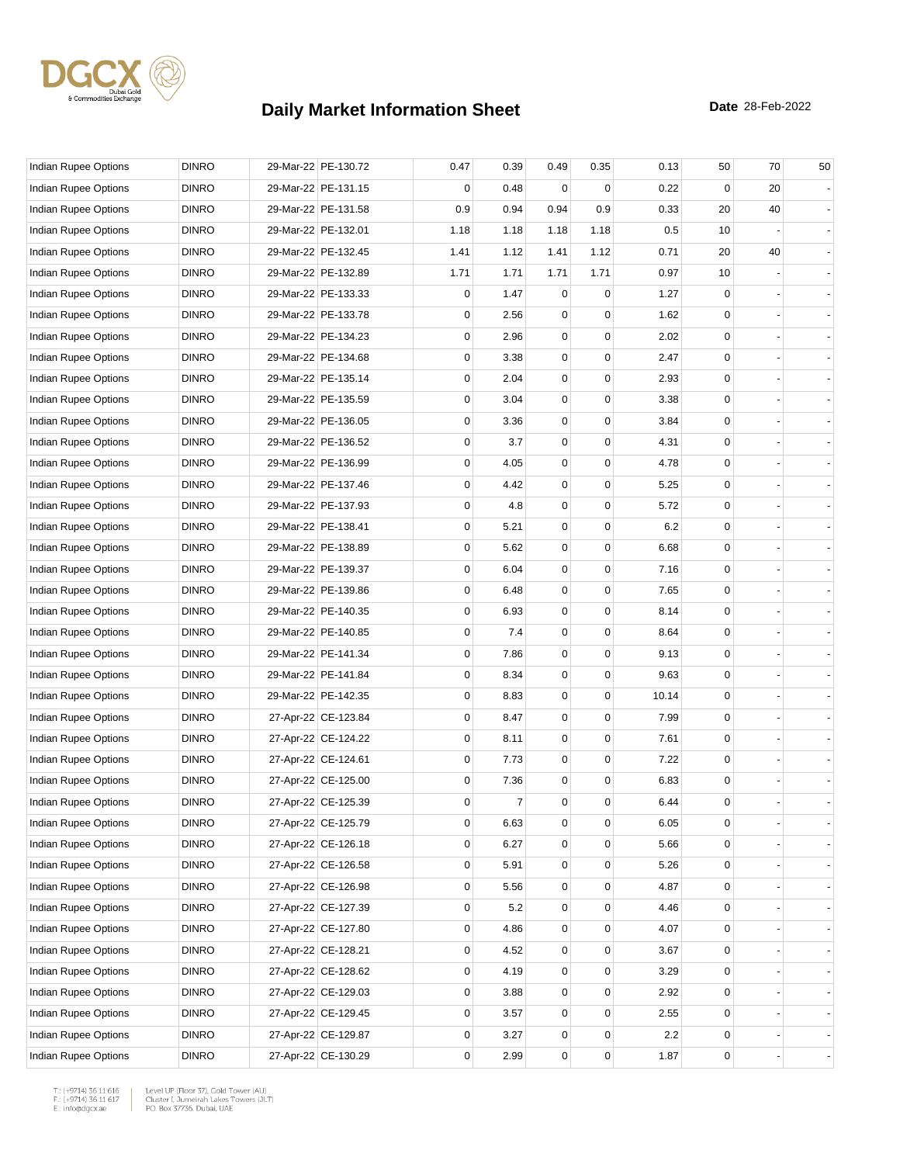

| Indian Rupee Options        | <b>DINRO</b> | 29-Mar-22 PE-130.72 | 0.47        | 0.39           | 0.49        | 0.35 | 0.13  | 50          | 70 | 50 |
|-----------------------------|--------------|---------------------|-------------|----------------|-------------|------|-------|-------------|----|----|
| Indian Rupee Options        | <b>DINRO</b> | 29-Mar-22 PE-131.15 | 0           | 0.48           | 0           | 0    | 0.22  | 0           | 20 |    |
| <b>Indian Rupee Options</b> | <b>DINRO</b> | 29-Mar-22 PE-131.58 | 0.9         | 0.94           | 0.94        | 0.9  | 0.33  | 20          | 40 |    |
| Indian Rupee Options        | <b>DINRO</b> | 29-Mar-22 PE-132.01 | 1.18        | 1.18           | 1.18        | 1.18 | 0.5   | 10          |    |    |
| <b>Indian Rupee Options</b> | <b>DINRO</b> | 29-Mar-22 PE-132.45 | 1.41        | 1.12           | 1.41        | 1.12 | 0.71  | 20          | 40 |    |
| Indian Rupee Options        | <b>DINRO</b> | 29-Mar-22 PE-132.89 | 1.71        | 1.71           | 1.71        | 1.71 | 0.97  | 10          |    |    |
| Indian Rupee Options        | <b>DINRO</b> | 29-Mar-22 PE-133.33 | 0           | 1.47           | 0           | 0    | 1.27  | 0           |    |    |
| Indian Rupee Options        | <b>DINRO</b> | 29-Mar-22 PE-133.78 | 0           | 2.56           | 0           | 0    | 1.62  | 0           |    |    |
| Indian Rupee Options        | <b>DINRO</b> | 29-Mar-22 PE-134.23 | 0           | 2.96           | 0           | 0    | 2.02  | 0           |    |    |
| Indian Rupee Options        | <b>DINRO</b> | 29-Mar-22 PE-134.68 | 0           | 3.38           | $\mathbf 0$ | 0    | 2.47  | 0           |    |    |
| Indian Rupee Options        | <b>DINRO</b> | 29-Mar-22 PE-135.14 | 0           | 2.04           | 0           | 0    | 2.93  | $\mathbf 0$ |    |    |
| Indian Rupee Options        | <b>DINRO</b> | 29-Mar-22 PE-135.59 | 0           | 3.04           | 0           | 0    | 3.38  | 0           |    |    |
| Indian Rupee Options        | <b>DINRO</b> | 29-Mar-22 PE-136.05 | 0           | 3.36           | 0           | 0    | 3.84  | $\mathbf 0$ |    |    |
| Indian Rupee Options        | <b>DINRO</b> | 29-Mar-22 PE-136.52 | 0           | 3.7            | 0           | 0    | 4.31  | 0           |    |    |
| Indian Rupee Options        | <b>DINRO</b> | 29-Mar-22 PE-136.99 | 0           | 4.05           | $\mathbf 0$ | 0    | 4.78  | $\mathbf 0$ |    |    |
| Indian Rupee Options        | <b>DINRO</b> | 29-Mar-22 PE-137.46 | 0           | 4.42           | 0           | 0    | 5.25  | $\mathbf 0$ |    |    |
| Indian Rupee Options        | <b>DINRO</b> | 29-Mar-22 PE-137.93 | 0           | 4.8            | 0           | 0    | 5.72  | 0           |    |    |
| Indian Rupee Options        | <b>DINRO</b> | 29-Mar-22 PE-138.41 | 0           | 5.21           | 0           | 0    | 6.2   | $\mathbf 0$ |    |    |
| Indian Rupee Options        | <b>DINRO</b> | 29-Mar-22 PE-138.89 | 0           | 5.62           | 0           | 0    | 6.68  | 0           |    |    |
| Indian Rupee Options        | <b>DINRO</b> | 29-Mar-22 PE-139.37 | 0           | 6.04           | $\mathbf 0$ | 0    | 7.16  | $\mathbf 0$ |    |    |
| Indian Rupee Options        | <b>DINRO</b> | 29-Mar-22 PE-139.86 | $\mathbf 0$ | 6.48           | $\mathbf 0$ | 0    | 7.65  | $\mathbf 0$ |    |    |
| Indian Rupee Options        | <b>DINRO</b> | 29-Mar-22 PE-140.35 | 0           | 6.93           | 0           | 0    | 8.14  | $\mathbf 0$ |    |    |
| Indian Rupee Options        | <b>DINRO</b> | 29-Mar-22 PE-140.85 | 0           | 7.4            | 0           | 0    | 8.64  | $\mathbf 0$ |    |    |
| Indian Rupee Options        | <b>DINRO</b> | 29-Mar-22 PE-141.34 | 0           | 7.86           | $\mathbf 0$ | 0    | 9.13  | 0           |    |    |
| Indian Rupee Options        | <b>DINRO</b> | 29-Mar-22 PE-141.84 | 0           | 8.34           | $\mathbf 0$ | 0    | 9.63  | 0           |    |    |
| Indian Rupee Options        | <b>DINRO</b> | 29-Mar-22 PE-142.35 | $\mathbf 0$ | 8.83           | $\mathbf 0$ | 0    | 10.14 | $\mathbf 0$ |    |    |
| Indian Rupee Options        | <b>DINRO</b> | 27-Apr-22 CE-123.84 | 0           | 8.47           | 0           | 0    | 7.99  | $\mathbf 0$ |    |    |
| Indian Rupee Options        | <b>DINRO</b> | 27-Apr-22 CE-124.22 | 0           | 8.11           | 0           | 0    | 7.61  | $\mathbf 0$ |    |    |
| Indian Rupee Options        | <b>DINRO</b> | 27-Apr-22 CE-124.61 | 0           | 7.73           | $\mathbf 0$ | 0    | 7.22  | $\mathbf 0$ |    |    |
| Indian Rupee Options        | <b>DINRO</b> | 27-Apr-22 CE-125.00 | 0           | 7.36           | 0           | 0    | 6.83  | $\mathbf 0$ |    |    |
| Indian Rupee Options        | <b>DINRO</b> | 27-Apr-22 CE-125.39 | 0           | $\overline{7}$ | $\mathbf 0$ | 0    | 6.44  | $\mathbf 0$ |    |    |
| <b>Indian Rupee Options</b> | <b>DINRO</b> | 27-Apr-22 CE-125.79 | 0           | 6.63           | 0           | 0    | 6.05  | 0           |    |    |
| Indian Rupee Options        | <b>DINRO</b> | 27-Apr-22 CE-126.18 | 0           | 6.27           | 0           | 0    | 5.66  | 0           |    |    |
| Indian Rupee Options        | <b>DINRO</b> | 27-Apr-22 CE-126.58 | 0           | 5.91           | 0           | 0    | 5.26  | 0           |    |    |
| <b>Indian Rupee Options</b> | <b>DINRO</b> | 27-Apr-22 CE-126.98 | 0           | 5.56           | 0           | 0    | 4.87  | 0           |    |    |
| <b>Indian Rupee Options</b> | <b>DINRO</b> | 27-Apr-22 CE-127.39 | 0           | 5.2            | 0           | 0    | 4.46  | 0           |    |    |
| <b>Indian Rupee Options</b> | <b>DINRO</b> | 27-Apr-22 CE-127.80 | 0           | 4.86           | 0           | 0    | 4.07  | 0           |    |    |
| Indian Rupee Options        | <b>DINRO</b> | 27-Apr-22 CE-128.21 | 0           | 4.52           | 0           | 0    | 3.67  | 0           |    |    |
| Indian Rupee Options        | <b>DINRO</b> | 27-Apr-22 CE-128.62 | 0           | 4.19           | 0           | 0    | 3.29  | 0           |    |    |
| Indian Rupee Options        | <b>DINRO</b> | 27-Apr-22 CE-129.03 | 0           | 3.88           | $\mathbf 0$ | 0    | 2.92  | 0           |    |    |
| Indian Rupee Options        | <b>DINRO</b> | 27-Apr-22 CE-129.45 | 0           | 3.57           | 0           | 0    | 2.55  | 0           |    |    |
| Indian Rupee Options        | <b>DINRO</b> | 27-Apr-22 CE-129.87 | 0           | 3.27           | 0           | 0    | 2.2   | 0           |    |    |
| Indian Rupee Options        | <b>DINRO</b> | 27-Apr-22 CE-130.29 | 0           | 2.99           | 0           | 0    | 1.87  | 0           |    |    |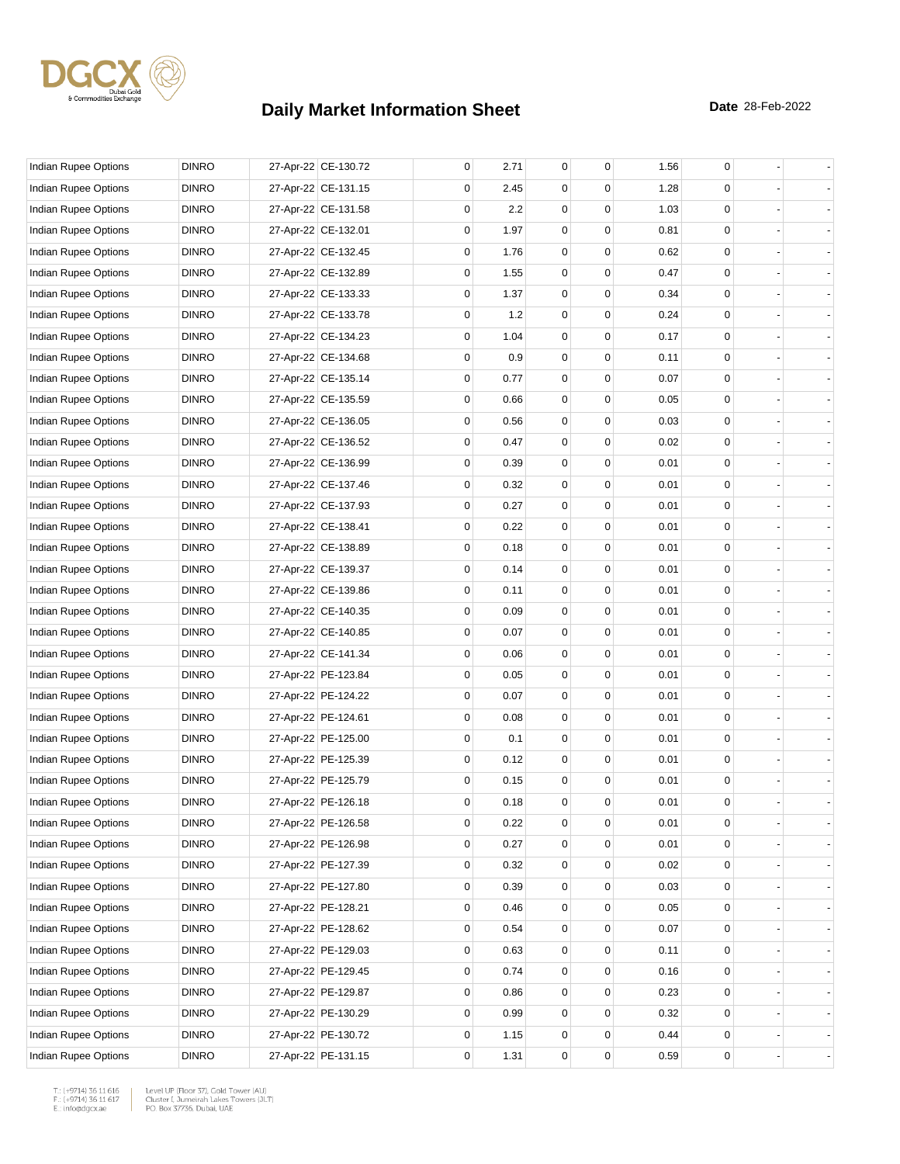

| <b>Indian Rupee Options</b> | <b>DINRO</b> | 27-Apr-22 CE-130.72 | 0 | 2.71 | 0           | 0           | 1.56 | 0           |  |
|-----------------------------|--------------|---------------------|---|------|-------------|-------------|------|-------------|--|
| Indian Rupee Options        | <b>DINRO</b> | 27-Apr-22 CE-131.15 | 0 | 2.45 | 0           | 0           | 1.28 | 0           |  |
| Indian Rupee Options        | <b>DINRO</b> | 27-Apr-22 CE-131.58 | 0 | 2.2  | 0           | 0           | 1.03 | 0           |  |
| Indian Rupee Options        | <b>DINRO</b> | 27-Apr-22 CE-132.01 | 0 | 1.97 | 0           | 0           | 0.81 | 0           |  |
| Indian Rupee Options        | <b>DINRO</b> | 27-Apr-22 CE-132.45 | 0 | 1.76 | 0           | 0           | 0.62 | 0           |  |
| Indian Rupee Options        | <b>DINRO</b> | 27-Apr-22 CE-132.89 | 0 | 1.55 | $\mathbf 0$ | $\mathbf 0$ | 0.47 | 0           |  |
| Indian Rupee Options        | <b>DINRO</b> | 27-Apr-22 CE-133.33 | 0 | 1.37 | 0           | 0           | 0.34 | 0           |  |
| Indian Rupee Options        | <b>DINRO</b> | 27-Apr-22 CE-133.78 | 0 | 1.2  | 0           | $\Omega$    | 0.24 | 0           |  |
| Indian Rupee Options        | <b>DINRO</b> | 27-Apr-22 CE-134.23 | 0 | 1.04 | 0           | 0           | 0.17 | 0           |  |
| Indian Rupee Options        | <b>DINRO</b> | 27-Apr-22 CE-134.68 | 0 | 0.9  | 0           | 0           | 0.11 | 0           |  |
| Indian Rupee Options        | <b>DINRO</b> | 27-Apr-22 CE-135.14 | 0 | 0.77 | $\mathbf 0$ | $\mathbf 0$ | 0.07 | 0           |  |
| Indian Rupee Options        | <b>DINRO</b> | 27-Apr-22 CE-135.59 | 0 | 0.66 | 0           | $\Omega$    | 0.05 | 0           |  |
| Indian Rupee Options        | <b>DINRO</b> | 27-Apr-22 CE-136.05 | 0 | 0.56 | 0           | $\Omega$    | 0.03 | 0           |  |
| Indian Rupee Options        | <b>DINRO</b> | 27-Apr-22 CE-136.52 | 0 | 0.47 | 0           | 0           | 0.02 | 0           |  |
| Indian Rupee Options        | <b>DINRO</b> | 27-Apr-22 CE-136.99 | 0 | 0.39 | 0           | 0           | 0.01 | 0           |  |
| Indian Rupee Options        | <b>DINRO</b> | 27-Apr-22 CE-137.46 | 0 | 0.32 | $\mathbf 0$ | $\mathbf 0$ | 0.01 | 0           |  |
| Indian Rupee Options        | <b>DINRO</b> | 27-Apr-22 CE-137.93 | 0 | 0.27 | 0           | $\Omega$    | 0.01 | 0           |  |
| Indian Rupee Options        | <b>DINRO</b> | 27-Apr-22 CE-138.41 | 0 | 0.22 | 0           | $\Omega$    | 0.01 | 0           |  |
| Indian Rupee Options        | <b>DINRO</b> | 27-Apr-22 CE-138.89 | 0 | 0.18 | 0           | 0           | 0.01 | 0           |  |
| Indian Rupee Options        | <b>DINRO</b> | 27-Apr-22 CE-139.37 | 0 | 0.14 | 0           | 0           | 0.01 | 0           |  |
| Indian Rupee Options        | <b>DINRO</b> | 27-Apr-22 CE-139.86 | 0 | 0.11 | $\mathbf 0$ | $\mathbf 0$ | 0.01 | 0           |  |
| Indian Rupee Options        | <b>DINRO</b> | 27-Apr-22 CE-140.35 | 0 | 0.09 | 0           | $\Omega$    | 0.01 | 0           |  |
| Indian Rupee Options        | <b>DINRO</b> | 27-Apr-22 CE-140.85 | 0 | 0.07 | 0           | $\Omega$    | 0.01 | 0           |  |
| Indian Rupee Options        | <b>DINRO</b> | 27-Apr-22 CE-141.34 | 0 | 0.06 | 0           | 0           | 0.01 | 0           |  |
| Indian Rupee Options        | <b>DINRO</b> | 27-Apr-22 PE-123.84 | 0 | 0.05 | 0           | 0           | 0.01 | 0           |  |
| Indian Rupee Options        | <b>DINRO</b> | 27-Apr-22 PE-124.22 | 0 | 0.07 | $\mathbf 0$ | $\mathbf 0$ | 0.01 | 0           |  |
| Indian Rupee Options        | <b>DINRO</b> | 27-Apr-22 PE-124.61 | 0 | 0.08 | 0           | $\Omega$    | 0.01 | 0           |  |
| Indian Rupee Options        | <b>DINRO</b> | 27-Apr-22 PE-125.00 | 0 | 0.1  | 0           | 0           | 0.01 | 0           |  |
| Indian Rupee Options        | <b>DINRO</b> | 27-Apr-22 PE-125.39 | 0 | 0.12 | 0           | 0           | 0.01 | 0           |  |
| Indian Rupee Options        | <b>DINRO</b> | 27-Apr-22 PE-125.79 | 0 | 0.15 | 0           | 0           | 0.01 | $\mathbf 0$ |  |
| Indian Rupee Options        | <b>DINRO</b> | 27-Apr-22 PE-126.18 | 0 | 0.18 | $\mathbf 0$ | 0           | 0.01 | $\mathbf 0$ |  |
| Indian Rupee Options        | <b>DINRO</b> | 27-Apr-22 PE-126.58 | 0 | 0.22 | 0           | 0           | 0.01 | 0           |  |
| Indian Rupee Options        | <b>DINRO</b> | 27-Apr-22 PE-126.98 | 0 | 0.27 | 0           | 0           | 0.01 | 0           |  |
| <b>Indian Rupee Options</b> | <b>DINRO</b> | 27-Apr-22 PE-127.39 | 0 | 0.32 | 0           | 0           | 0.02 | 0           |  |
| Indian Rupee Options        | <b>DINRO</b> | 27-Apr-22 PE-127.80 | 0 | 0.39 | 0           | $\mathbf 0$ | 0.03 | 0           |  |
| Indian Rupee Options        | <b>DINRO</b> | 27-Apr-22 PE-128.21 | 0 | 0.46 | 0           | 0           | 0.05 | 0           |  |
| <b>Indian Rupee Options</b> | <b>DINRO</b> | 27-Apr-22 PE-128.62 | 0 | 0.54 | 0           | 0           | 0.07 | 0           |  |
| Indian Rupee Options        | <b>DINRO</b> | 27-Apr-22 PE-129.03 | 0 | 0.63 | 0           | 0           | 0.11 | 0           |  |
| <b>Indian Rupee Options</b> | <b>DINRO</b> | 27-Apr-22 PE-129.45 | 0 | 0.74 | 0           | 0           | 0.16 | 0           |  |
| Indian Rupee Options        | <b>DINRO</b> | 27-Apr-22 PE-129.87 | 0 | 0.86 | 0           | 0           | 0.23 | 0           |  |
| Indian Rupee Options        | <b>DINRO</b> | 27-Apr-22 PE-130.29 | 0 | 0.99 | 0           | 0           | 0.32 | 0           |  |
| Indian Rupee Options        | <b>DINRO</b> | 27-Apr-22 PE-130.72 | 0 | 1.15 | 0           | 0           | 0.44 | 0           |  |
| Indian Rupee Options        | <b>DINRO</b> | 27-Apr-22 PE-131.15 | 0 | 1.31 | 0           | 0           | 0.59 | 0           |  |